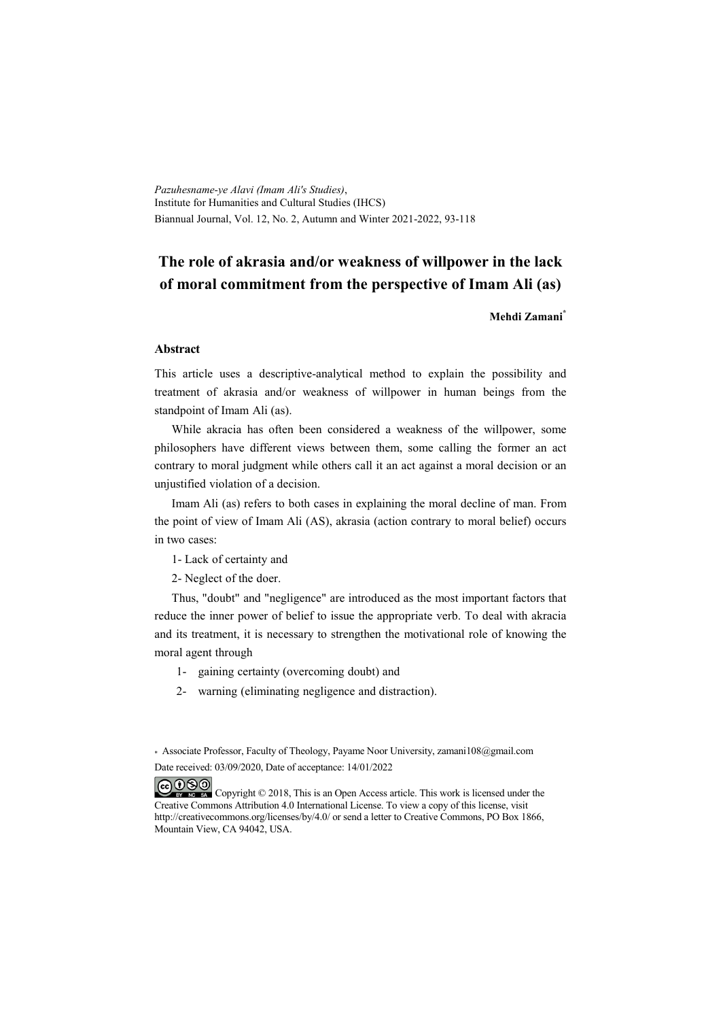*Pazuhesname-ye Alavi (Imam Ali's Studies)*, Institute for Humanities and Cultural Studies (IHCS) Biannual Journal, Vol. 12, No. 2, Autumn and Winter 2021-2022, 93-118

## **The role of akrasia and/or weakness of willpower in the lack of moral commitment from the perspective of Imam Ali (as)**

**Mehdi Zamani\***

#### **Abstract**

This article uses a descriptive-analytical method to explain the possibility and treatment of akrasia and/or weakness of willpower in human beings from the standpoint of Imam Ali (as).

While akracia has often been considered a weakness of the willpower, some philosophers have different views between them, some calling the former an act contrary to moral judgment while others call it an act against a moral decision or an unjustified violation of a decision.

Imam Ali (as) refers to both cases in explaining the moral decline of man. From the point of view of Imam Ali (AS), akrasia (action contrary to moral belief) occurs in two cases:

1- Lack of certainty and

2- Neglect of the doer.

Thus, "doubt" and "negligence" are introduced as the most important factors that reduce the inner power of belief to issue the appropriate verb. To deal with akracia and its treatment, it is necessary to strengthen the motivational role of knowing the moral agent through

- 1- gaining certainty (overcoming doubt) and
- 2- warning (eliminating negligence and distraction).

\* Associate Professor, Faculty of Theology, Payame Noor University, zamani108@gmail.com Date received: 03/09/2020, Date of acceptance: 14/01/2022

COOO Copyright © 2018, This is an Open Access article. This work is licensed under the Creative Commons Attribution 4.0 International License. To view a copy of this license, visit http://creativecommons.org/licenses/by/4.0/ or send a letter to Creative Commons, PO Box 1866, Mountain View, CA 94042, USA.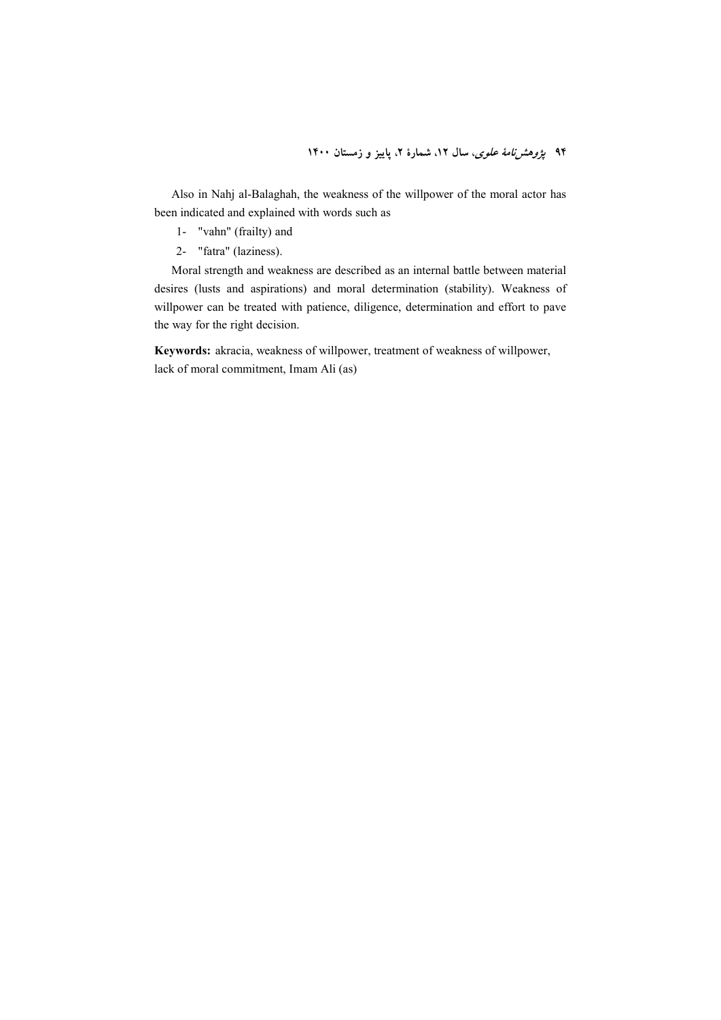Also in Nahj al-Balaghah, the weakness of the willpower of the moral actor has been indicated and explained with words such as

- 1- "vahn" (frailty) and
- 2- "fatra" (laziness).

Moral strength and weakness are described as an internal battle between material desires (lusts and aspirations) and moral determination (stability). Weakness of willpower can be treated with patience, diligence, determination and effort to pave the way for the right decision.

**Keywords:** akracia, weakness of willpower, treatment of weakness of willpower, lack of moral commitment, Imam Ali (as)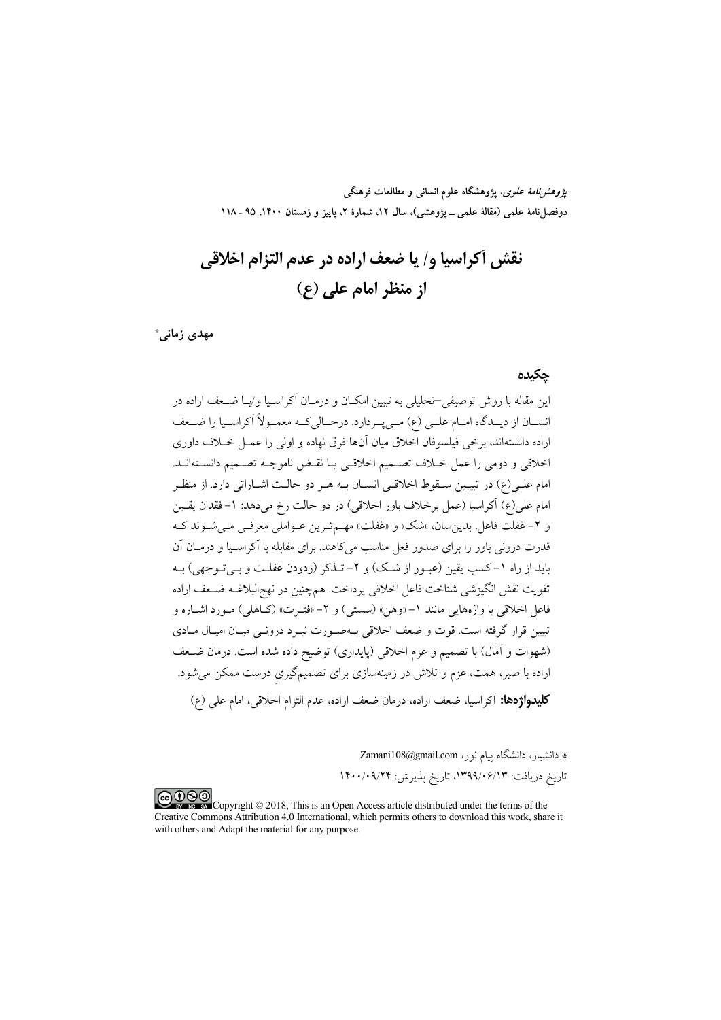پ*ژوهشنامهٔ علوی*، پژوهشگاه علوم انسان<sub>ی</sub> و مطالعات فرهنگی دوفصلiامهٔ علمی (مقالهٔ علمی ــ پژوهشی)، سال ۱۲، شمارهٔ ۲، پاییز و زمستان ۱۴۰۰، ۹۵ ـ ۱۱۸

نقش أكراسيا و/ يا ضعف اراده در عدم التزام اخلاقي  **(\$) !" #**

**" 9: \***

#### حكىدە

ین مقاله با روش توصیفی–تحلیلی به تبیین امکـان و درمــان آکراســیا و/یــا ضــعف اراده در نســان از ديــدگاه امــام علــي (ع) مــيپــردازد. درحــالىكــه معمــولا اكراســيا را ضــعف راده دانستهاند، برخی فیلسوفان اخلاق میان آنها فرق نهاده و اولی را عمــل خــلاف داوری J خلاقی و دومی را عمل خــلاف تصــمیم اخلاقــی یــا نقــض ناموجــه تصــمیم دانســتهانــد. مام علـی(ع) در تبیـین سـقوط اخلاقـی انســان بــه هــر دو حالــت اشــاراتی دارد. از منظــر مام علي(ع) آكراسيا (عمل برخلاف باور اخلاقي) در دو حالت رخ ميدهد: ١–فقدان يقــين و ۲– غفلت فاعل. بدینِسان، «شک» و «غفلت» مهــمتــرین عــواملی معرفــی مــیشــوند کــه ندرت درونی باور را برای صدور فعل مناسب میکاهند. برای مقابله با اکراسـیا و درمــان ان باید از راه ۱–کسب یقین (عبـور از شـک) و ۲– تــذکر (زدودن غفلــت و بــیتــوجهی) بــه نقويت نقش انگيزشي شناخت فاعل اخلاقي پرداخت. همچنين در نهج|لبلاغــه ضــعف اراده فاعل اخلاقی با واژههایی مانند ۱–«وهن» (سستی) و ۲–«فتـرت» (کـاهلی) مـورد اشــاره و نبیین قرار گرفته است. قوت و ضعف اخلاقی بــهصــورت نبــرد درونــی میــان امیــال مــادی (شهوات و امال) با تصمیم و عزم اخلاقی (پایداری) توضیح داده شده است. درمان ضـعف راده با صبر، همت، عزم و تلاش در زمینهسازی برای تصمیمگیری درست ممکن میشود. J كليدواژهها: آكراسيا، ضعف اراده، درمان ضعف اراده، عدم التزام اخلاقي، امام على (ع)

\* دانشیار، دانشگاه پیام نور، Zamani108@gmail.com

ناریخ دریافت: ۱۳۹۹/۰۶/۱۳، تاریخ پذیرش: ۱۴۰۰/۰۹/۲۴

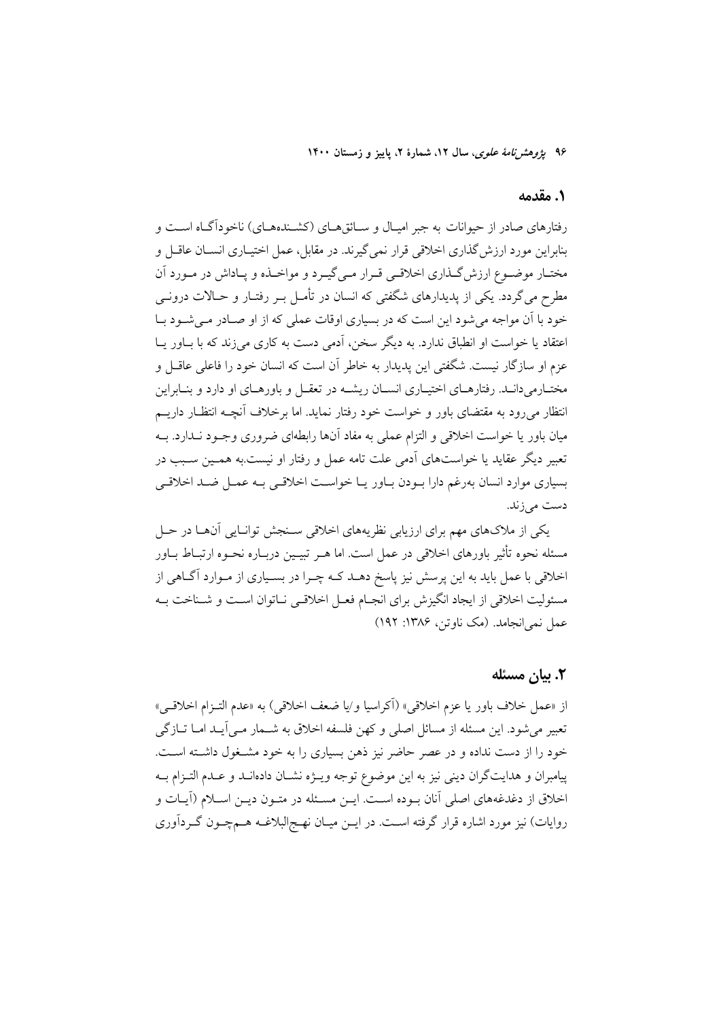۹۶ ی*ژوهشرنامهٔ علوی*، سال ۱۲، شمارهٔ ۲، پاییز و زمستان ۱۴۰۰

#### ١. مقدمه

رفتارهای صادر از حیوانات به جبر امیـال و ســائق۵ــای (کشــندههــای) ناخودآگــاه اســت و بنابراین مورد ارزش گذاری اخلاقی قرار نمیگیرند. در مقابل، عمل اختیـاری انســان عاقــل و مختـار موضـوع ارزش گـذاري اخلاقـي قـرار مـي گيـرد و مواخـذه و پـاداش در مـورد آن مطرح می گردد. یکی از پدیدارهای شگفتی که انسان در تأمـل بــر رفتـار و حــالات درونــی خود با آن مواجه می شود این است که در بسیاری اوقات عملی که از او صـادر مـی شـود بـا اعتقاد یا خواست او انطباق ندارد. به دیگر سخن، آدمی دست به کاری میزند که با بـاور یـا عزم او سازگار نیست. شگفتی این پدیدار به خاطر آن است که انسان خود را فاعلی عاقبل و مختـارمیدانـد. رفتارهـای اختیـاری انســان ریشــه در تعقــل و باورهــای او دارد و بنــابراین انتظار میرود به مقتضای باور و خواست خود رفتار نماید. اما برخلاف أنچـه انتظـار داریــم میان باور یا خواست اخلاقی و التزام عملی به مفاد آنها رابطهای ضروری وجــود نــدارد. بــه تعبیر دیگر عقاید یا خواستهای اَدمی علت تامه عمل و رفتار او نیست.به همـین سـبب در بسیاری موارد انسان بهرغم دارا بودن باور یـا خواسـت اخلاقـی بـه عمـل ضـد اخلاقـی دست مي زند.

یکی از ملاکهای مهم برای ارزیابی نظریههای اخلاقی سـنجش توانـایی اّنهـا در حـل مسئله نحوه تأثیر باورهای اخلاقی در عمل است. اما هـر تبیـین دربـاره نحـوه ارتبـاط بــاور اخلاقی با عمل باید به این پرسش نیز پاسخ دهـد کـه چـرا در بسـیاری از مـوارد آگـاهی از مسئوليت اخلاقي از ايجاد انگيزش براي انجـام فعـل اخلاقـي نــاتوان اسـت و شــناخت بــه عمل نمي انجامد. (مک ناوتن، ۱۳۸۶: ۱۹۲)

#### ٢. بيان مسئله

از «عمل خلاف باور يا عزم اخلاقي» (أكراسيا و/يا ضعف اخلاقي) به «عدم التـزام اخلاقـي» تعبیر می شود. این مسئله از مسائل اصلی و کهن فلسفه اخلاق به شــمار مــی]یــد امــا تــازگی خود را از دست نداده و در عصر حاضر نیز ذهن بسیاری را به خود مشـغول داشـته اسـت. پیامبران و هدایتگران دینی نیز به این موضوع توجه ویـژه نشـان دادهانـد و عـدم التـزام بـه اخلاق از دغدغههای اصلی آنان بوده است. ایـن مسـئله در متـون دیـن اسـلام (آیـات و روایات) نیز مورد اشاره قرار گرفته اسـت. در ایــن میــان نهــج|لبلاغــه هــمچــون گــردآوری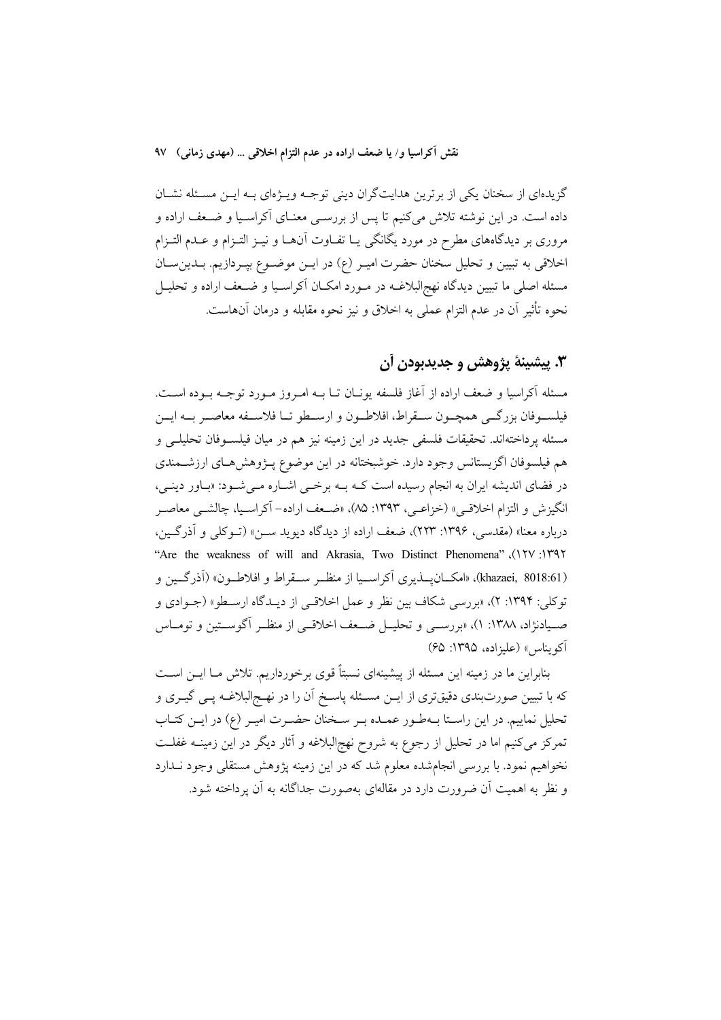نقش آكراسيا و/ يا ضعف اراده در عدم التزام اخلاقي … (مهدى زماني) ٩٧

گزیدهای از سخنان یکی از برترین هدایتگران دینی توجـه ویـژهای بـه ایـن مسـئله نشـان داده است. در این نوشته تلاش میکنیم تا پس از بررســی معنــای آکراسـیا و ضــعف اراده و مروری بر دیدگاههای مطرح در مورد یگانگی یـا تفـاوت آنهـا و نیــز التــزام و عــدم التــزام اخلاقی به تبیین و تحلیل سخنان حضرت امیـر (ع) در ایـن موضـوع بپـردازیم. بـدینِ سـان مسئله اصلی ما تبیین دیدگاه نهجالبلاغــه در مــورد امکــان آکراســیا و ضــعف اراده و تحلیــل نحوه تأثير آن در عدم التزام عملي به اخلاق و نيز نحوه مقابله و درمان آنهاست.

## ٣. پيشينۀ پژوهش و جديدٻودن آن

مسئله أكراسيا و ضعف اراده از أغاز فلسفه يونـان تــا بــه امــروز مــورد توجــه بــوده اســت. فيلســوفان بزرگــي همچــون ســقراط، افلاطــون و ارســطو تــا فلاســفه معاصــر بــه ايــن مسئله پرداختهاند. تحقیقات فلسفی جدید در این زمینه نیز هم در میان فیلسـوفان تحلیلـی و هم فیلسوفان اگزیستانس وجود دارد. خوشبختانه در این موضوع پــژوهش۹حای ارزشــمندی در فضای اندیشه ایران به انجام رسیده است کـه بـه برخـی اشـاره مـیشـود: «بـاور دینـی، انگیزش و التزام اخلاقبی» (خزاعبی، ۱۳۹۳: ۸۵)، «ضعف اراده– آکراسـیا، چالشـبی معاصـر درباره معنا» (مقدسی، ۱۳۹۶: ۲۲۳)، ضعف اراده از دیدگاه دیوید ســن» (تــوکلی و آذرگــین، ''Are the weakness of will and Akrasia, Two Distinct Phenomena" (١٢٧: ١٣٩٢ (khazaei, 8018:61)، «امكــان يـــذيري آكراســيا از منظــر ســـقراط و افلاطــون» (آذرگــين و توكلي: ١٣٩۴: ٢)، «بررسي شكاف بين نظر و عمل اخلاقي از ديـدگاه ارسـطو» (جــوادي و صـيادنژاد، ١٣٨٨: ١)، «بررســي و تحليــل ضــعف اخلاقــي از منظــر أگوســتين و تومــاس آكو بناس» (عليزاده، ١٣٩٥: ۶۵)

بنابراین ما در زمینه این مسئله از پیشینهای نسبتاً قوی برخورداریم. تلاش مـا ایــن اسـت که با تبیین صورتبندی دقیقتری از ایــن مســئله پاسـخ آن را در نهــج|لبلاغــه پــی گیــری و تحلیل نماییم. در این راسـتا بــهطـور عمــده بــر ســخنان حضــرت امیــر (ع) در ایــن کتــاب تمرکز میکنیم اما در تحلیل از رجوع به شروح نهج|لبلاغه و آثار دیگر در این زمینــه غفلــت نخواهیم نمود. با بررسی انجامشده معلوم شد که در این زمینه پژوهش مستقلی وجود نــدارد و نظر به اهمیت آن ضرورت دارد در مقالهای بهصورت جداگانه به آن پرداخته شود.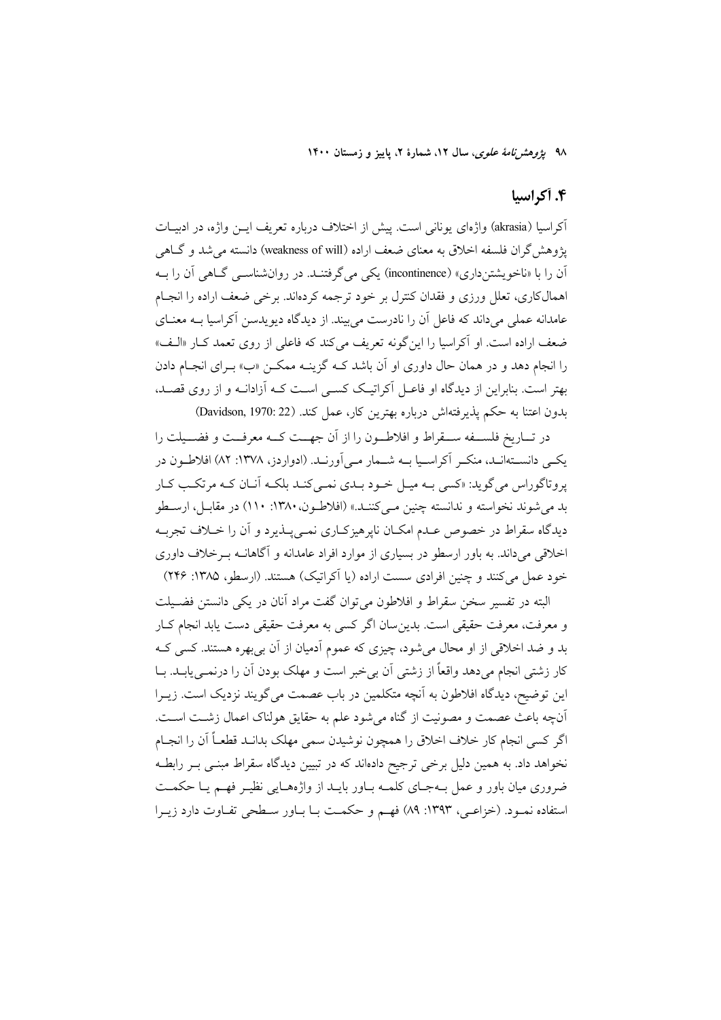۹۸ يژوهشر *نامهٔ علوی*، سال ۱۲، شمارهٔ ۲، پاييز و زمستان ۱۴۰۰

### ۴. آکراسیا

آكراسيا (akrasia) واژەاي يونانى است. پيش از اختلاف دربارە تعريف ايـــن واژە، در ادبيــات پژوهش گران فلسفه اخلاق به معنای ضعف اراده (weakness of will) دانسته می شد و گــاهی آن را با «ناخو یشتن داری» (incontinence) یکی می گرفتنـد. در روان.شناسـبی گــاهی آن را بــه اهمالکاری، تعلل ورزی و فقدان کنترل بر خود ترجمه کردهاند. برخی ضعف اراده را انجـام عامدانه عملی میداند که فاعل آن را نادرست می بیند. از دیدگاه دیویدسن آکراسیا بــه معنــای ضعف اراده است. او آکراسیا را اینگونه تعریف میکند که فاعلی از روی تعمد کبار «البف» را انجام دهد و در همان حال داوری او آن باشد کـه گزینـه ممکـن «ب» بـرای انجـام دادن بهتر است. بنابراین از دیدگاه او فاعـل آکراتیـک کســی اســت کــه آزادانــه و از روی قصــد، بدون اعتنا به حکم پذیرفتهاش درباره بهترین کار، عمل کند. (Davidson, 1970: 22)

در تساريخ فلسـفه سـقراط و افلاطـون را از أن جهــت كــه معرفــت و فضــيلت را یکمی دانستهانـد، منکـر آکراسـیا بــه شــمار مــی]ورنــد. (ادواردز، ۱۳۷۸: ۸۲) افلاطـون در یروتاگوراس می گوید: «کسی بـه میـل خـود بـدی نمـی کنـد بلکـه آنـان کـه مرتکـب کـار بد مي شوند نخواسته و ندانسته چنين مـي كننـد.» (افلاطـون، ١٣٨٠: ١١٠) در مقابـل، ارسـطو دیدگاه سقراط در خصوص عـدم امکـان نایرهیزکـاری نمـی پـذیرد و آن را خــلاف تجربـه اخلاقی می داند. به باور ارسطو در بسیاری از موارد افراد عامدانه و آگاهانــه بــرخلاف داوری خود عمل می کنند و چنین افرادی سست اراده (یا آکراتیک) هستند. (ارسطو، ۱۳۸۵: ۲۴۶)

البته در تفسیر سخن سقراط و افلاطون می توان گفت مراد آنان در یکی دانستن فضـیلت و معرفت، معرفت حقیقی است. بدین سان اگر کسی به معرفت حقیقی دست یابد انجام کـار بد و ضد اخلاقی از او محال می شود، چیزی که عموم اَدمیان از اَن بی بهره هستند. کسی کـه کار زشتی انجام میدهد واقعاً از زشتی آن بی خبر است و مهلک بودن آن را درنمـییابـد. بــا این توضیح، دیدگاه افلاطون به آنچه متکلمین در باب عصمت می گویند نزدیک است. زیــرا آنچه باعث عصمت و مصونیت از گناه میشود علم به حقایق هولناک اعمال زشـت اسـت. اگر كسى انجام كار خلاف اخلاق را همچون نوشيدن سمى مهلك بدانـد قطعـاً أن را انجـام نخواهد داد. به همین دلیل برخی ترجیح دادهاند که در تبیین دیدگاه سقراط مبنـی بـر رابطـه ضروری میان باور و عمل بـهجـای کلمـه بـاور بایـد از واژههـایی نظیـر فهـم یـا حکمـت استفاده نمـود. (خزاعـی، ۱۳۹۳: ۸۹) فهـم و حکمـت بـا بـاور سـطحی تفـاوت دارد زيـرا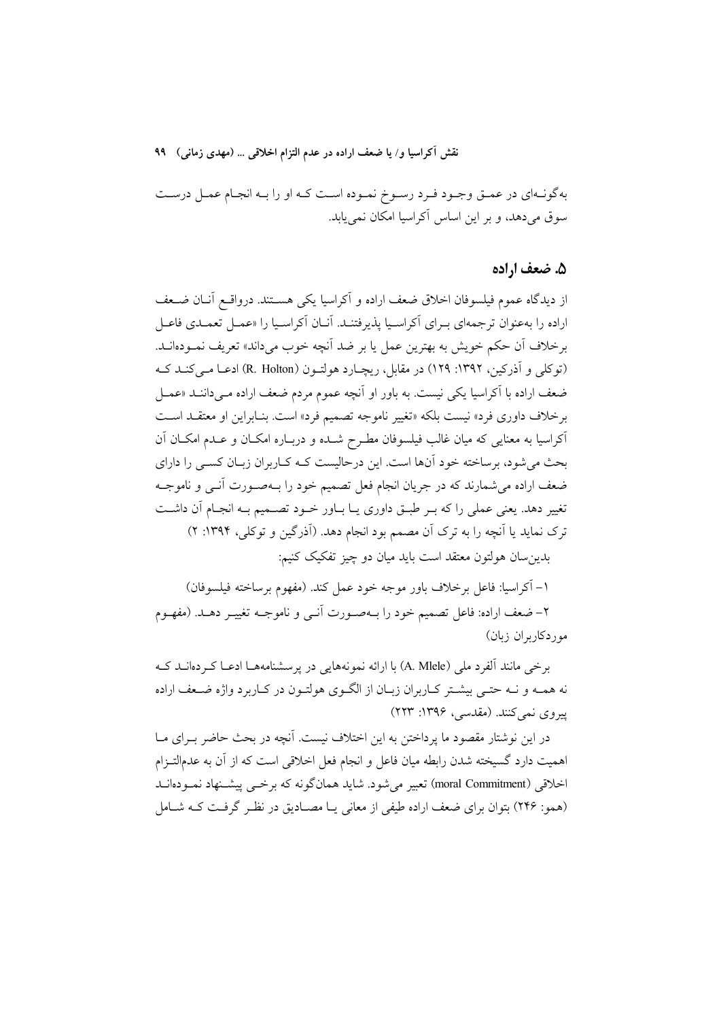نقش آكراسيا و/ يا ضعف اراده در عدم التزام اخلاقي ... (مهدي زماني) ٩٩

بهگونـهاي در عمـق وجـود فـرد رسـوخ نمـوده اسـت كـه او را بـه انجـام عمـل درسـت سوق می دهد، و بر این اساس آکراسیا امکان نمی یابد.

#### ۵. ضعف اراده

از ديدگاه عموم فيلسوفان اخلاق ضعف اراده و آكراسيا يكي هسـتند. درواقــع أنــان ضــعف اراده را بهعنوان ترجمهاي بـراي آكراسـيا يذيرفتنـد. آنــان آكراسـيا را «عمــل تعمــدي فاعــل برخلاف أن حكم خويش به بهترين عمل يا بر ضد أنچه خوب ميداند» تعريف نمـودهانــد. (توكلي و آذركين، ١٣٩٢: ١٢٩) در مقابل، ريچـارد هولتـون (R. Holton) ادعـا مـى كنـد كـه ضعف اراده با آکراسیا یکی نیست. به باور او آنچه عموم مردم ضعف اراده مـیداننـد «عمـل برخلاف داوري فرد» نيست بلكه «تغيير ناموجه تصميم فرد» است. بنـابراين او معتقــد اســت آکراسیا به معنایی که میان غالب فیلسوفان مطـرح شـده و دربـاره امکـان و عـدم امکـان آن بحث می شود، برساخته خود آنها است. این درحالیست کـه کـاربران زبـان کســی را دارای ضعف اراده می شمارند که در جریان انجام فعل تصمیم خود را بـهصـورت آنـی و ناموجـه تغییر دهد. یعنی عملی را که بـر طبـق داوری یـا بـاور خــود تصــمیم بــه انجــام آن داشــت ترک نماید یا اَنچه را به ترک اَن مصمم بود انجام دهد. (اَذرگین و توکلی، ۱۳۹۴: ۲) بدين سان هولتون معتقد است بايد ميان دو چيز تفكيك كنيم:

١– آكراسيا: فاعل برخلاف باور موجه خود عمل كند. (مفهوم برساخته فيلسوفان) ۲– ضعف اراده: فاعل تصمیم خود را بــهصـورت آنــی و ناموجــه تغییــر دهــد. (مفهــوم موردكاربران زبان)

برخی مانند ألفرد ملی (A. Mlele) با ارائه نمونههایی در پرسشنامههـا ادعــا کــردهانــد کــه نه همـه و نـه حتـي بيشـتر كـاربران زبـان از الگـوى هولتـون در كـاربرد واژه ضـعف اراده پیروی نمی کنند. (مقدسی، ۱۳۹۶: ۲۲۳)

در این نوشتار مقصود ما یرداختن به این اختلاف نیست. آنچه در بحث حاضر بـرای مـا اهمیت دارد گسیخته شدن رابطه میان فاعل و انجام فعل اخلاقی است که از آن به عدمالتـزام اخلاقی (moral Commitment) تعبیر می شود. شاید همانگونه که برخسی پیشـنهاد نمـودهانــد (همو: ۲۴۶) بتوان برای ضعف اراده طیفی از معانی یـا مصـادیق در نظـر گرفـت کـه شـامل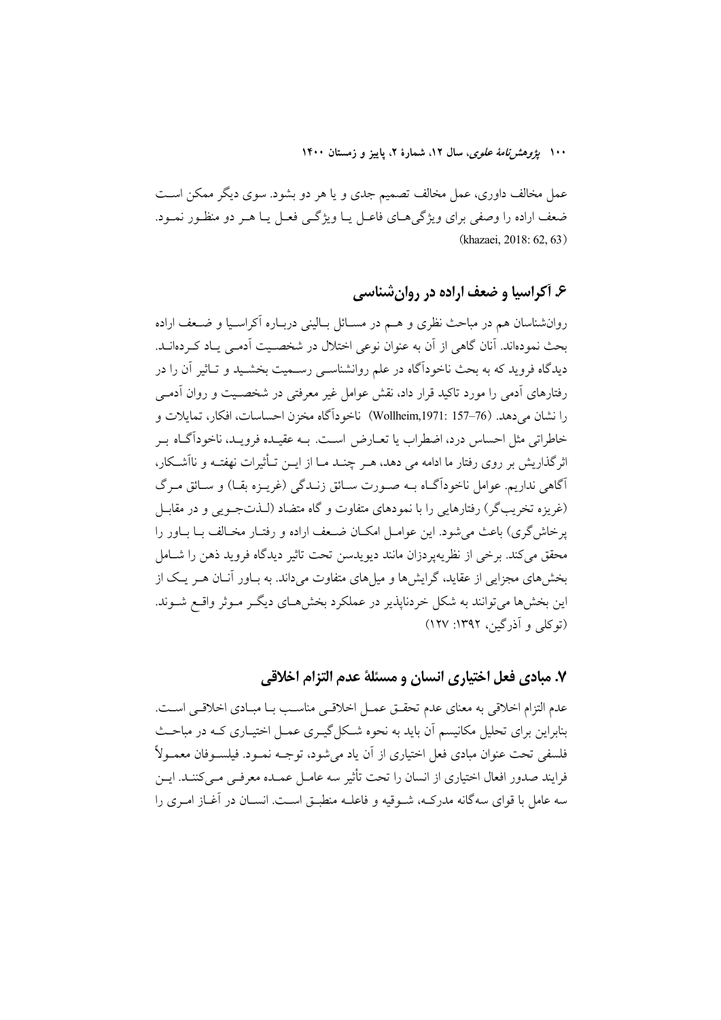۱۰۰ ب*ژوهش نامهٔ علوی*، سال ۱۲، شمارهٔ ۲، پاییز و زمستان ۱۴۰۰

عمل مخالف داوری، عمل مخالف تصمیم جدی و یا هر دو بشود. سوی دیگر ممکن است ضعف اراده را وصفي براي ويژگيهــاي فاعــل يــا ويژگــي فعــل يــا هــر دو منظــور نمــود. (khazaei, 2018: 62, 63)

## ۶. آکراسیا و ضعف اراده در روان شناسی

روانشناسان هم در مباحث نظری و هــم در مســائل بــالینی دربــاره آکراســیا و ضــعف اراده بحث نمودهاند. آنان گاهی از آن به عنوان نوعی اختلال در شخصـیت آدمـی یـاد کـردهانــد. دیدگاه فروید که به بحث ناخودآگاه در علم روانشناسـی رســمیت بخشـید و تــاثیر آن را در رفتارهای آدمی را مورد تاکید قرار داد، نقش عوامل غیر معرفتی در شخصـیت و روان آدمـی را نشان مي دهد. (76–157 : Wollheim,1971:) ناخوداًگاه مخزن احساسات، افكار، تمايلات و خاطراتی مثل احساس درد، اضطراب یا تعـارض اسـت. بــه عقیــده فرویــد، ناخوداًگــاه بــر اثر گذاریش بر روی رفتار ما ادامه می دهد، هیر چنید میا از این تبأثیرات نهفتیه و ناآشیکار، آگاهي نداريم. عوامل ناخودآگــاه بــه صــورت ســائق زنــدگي (غريــزه بقــا) و ســائق مــرگ (غریزه تخریبگر) رفتارهایی را با نمودهای متفاوت و گاه متضاد (لـذتجـویی و در مقابـل يرخاش گري) باعث مي شود. اين عوامـل امكــان ضــعف اراده و رفتــار مخــالف بــا بــاور را محقق می کند. برخی از نظریهیردزان مانند دیویدسن تحت تاثیر دیدگاه فروید ذهن را شــامل بخش های مجزایی از عقاید، گرایش ها و میل های متفاوت می داند. به بیاور آنیان هیر یک از این بخشها می توانند به شکل خردنایذیر در عملکرد بخشهای دیگ موثر واقع شـوند. (توکلی و آذرگین، ۱۳۹۲: ۱۲۷)

## ٧. مبادي فعل اختياري انسان و مسئلة عدم التزام اخلاقي

عدم التزام اخلاقی به معنای عدم تحقیق عمـل اخلاقـی مناسـب بـا مبـادی اخلاقـی اسـت. بنابراین برای تحلیل مکانیسم آن باید به نحوه شکل گیـری عمـل اختیـاری کـه در مباحـث فلسفی تحت عنوان مبادی فعل اختیاری از آن یاد می شود، توجــه نمــود. فیلســوفان معمــولاً فرایند صدور افعال اختیاری از انسان را تحت تأثیر سه عامـل عمـده معرفـی مـی کننـد. ایـن سه عامل با قوای سه گانه مدرکـه، شـوقیه و فاعلـه منطبـق اسـت. انسـان در آغـاز امـری را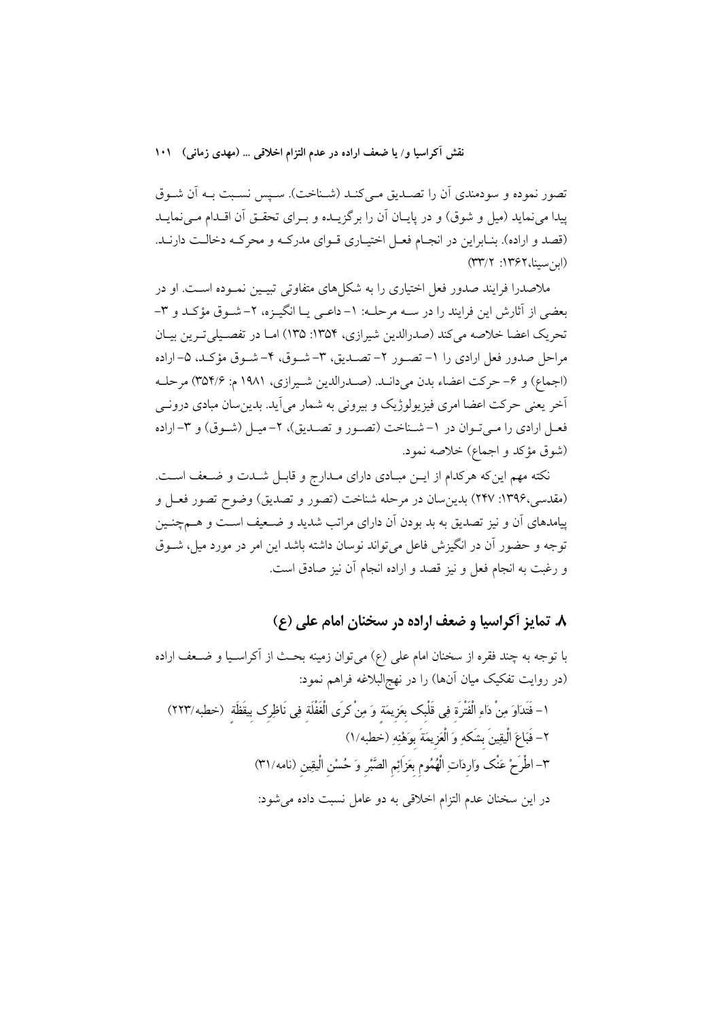نقش آکراسیا و/ یا ضعف اراده در عدم التزام اخلاقی … (مهدی زمانی) ۱۰۱

تصور نموده و سودمندي آن را تصـديق مـيكنـد (شـناخت). سـپس نسـبت بـه آن شـوق ييدا مي نمايد (ميل و شوق) و در پايـان آن را برگزيـده و بـراي تحقـق آن اقـدام مـي نمايـد (قصد و اراده). بنـابراين در انجـام فعـل اختيـاري قـواي مدركـه و محركـه دخالـت دارنـد. (ارنسنا، ۱۳۶۲: ۳۳/۲)

ملاصدرا فرایند صدور فعل اختیاری را به شکل های متفاوتی تبیـین نمـوده اسـت. او در بعضي از آثارش اين فرايند را در سـه مرحلـه: ١- داعـي يــا انگيــزه، ٢- شــوق مؤكـد و ٣-تحريک اعضا خلاصه مي کند (صدرالدين شيرازي، ۱۳۵۴: ۱۳۵) امـا در تفصـيلي تـرين بيـان مراحل صدور فعل ارادي را ١- تصـور ٢- تصـديق، ٣- شـوق، ۴- شـوق مؤكـد، ۵- اراده (اجماع) و ۶– حركت اعضاء بدن مي دانـد. (صـدرالدين شـيرازي، ١٩٨١ م: ٣٥٢/۶) مرحلـه آخر یعنی حرکت اعضا امری فیزیولوژیک و پیرونی به شمار می آید. پدین سان مبادی درونے فعـل ارادي را مـي تـوان در ١- شـناخت (تصـور و تصـديق)، ٢- ميـل (شـوق) و ٣-اراده (شوق مؤكد و اجماع) خلاصه نمود.

نکته مهم این که هرکدام از ایـن مبـادی دارای مـدارج و قابـل شـدت و ضـعف اسـت. (مقدسی،۱۳۹۶: ۲۴۷) بدین سان در مرحله شناخت (تصور و تصدیق) وضوح تصور فعـل و پیامدهای آن و نیز تصدیق به بد بودن آن دارای مراتب شدید و ضـعیف اسـت و هـمچنـین توجه و حضور آن در انگیزش فاعل می تواند نوسان داشته باشد این امر در مورد میل، شــوق و رغبت به انجام فعل و نیز قصد و اراده انجام آن نیز صادق است.

# ٨. تمایز آکراسیا و ضعف اراده در سخنان امام علی (ع)

با توجه به چند فقره از سخنان امام على (ع) مي توان زمينه بحث از آكراسـيا و ضـعف اراده (در روایت تفکیک میان آنها) را در نهج|لبلاغه فراهم نمود: ١– فَتَدَاوَ مِنْ دَاءِ الْفَتْرَة فِي قَلْبِك بعَزِيمَة وَ مِنْ كرَى الْغَفْلَة فِي نَاظِرِك بيقَظَة (خطبه/٢٢٣) ٢- فَبَاعَ الْيقِينَ بِشَكْهِ وَ الْعَزِيمَةَ بِوَهْنِهِ (خطبه/١) ٣– اطْرَحْ عَنْك وَاردَاتِ الْهُمُوم بعَزَائِم الصَّبْر وَ حُسْن الْيقِين (نامه/٣١) در اين سخنان عدم التزام اخلاقي به دو عامل نسبت داده مي شود: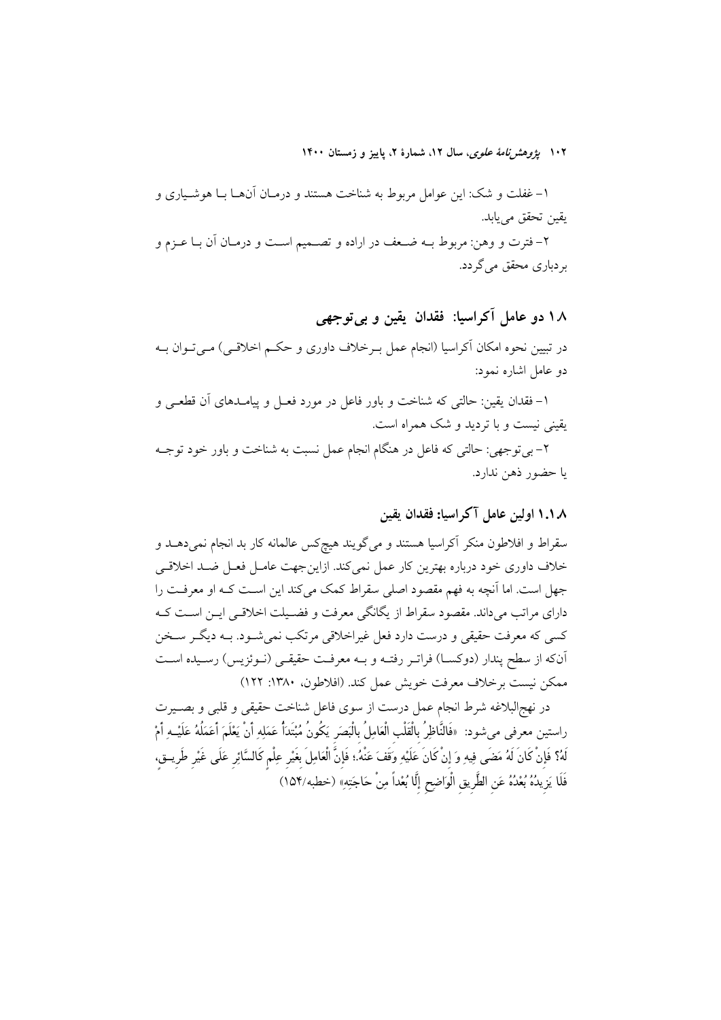۱۰۲ *یژوهشرنامهٔ علوی*، سال ۱۲، شمارهٔ ۲، پاییز و زمستان ۱۴۰۰

۱– غفلت و شک: این عوامل مربوط به شناخت هستند و درمـان آنهـا بــا هوشــیاری و يقين تحقق مي يابد.

۲– فترت و وهن: مربوط بــه ضــعف در اراده و تصــمیم اســت و درمــان آن بــا عــزم و بر دباری محقق می گر دد.

# ١٨ دو عامل آكراسيا: فقدان يقين و بي توجهي

در تبیین نحوه امکان آکراسیا (انجام عمل بـرخلاف داوری و حکـم اخلاقـی) مـی تـوان بــه دو عامل اشاره نمود:

۱– فقدان يقين: حالتي كه شناخت و باور فاعل در مورد فعـل و پيامــدهاى آن قطعــي و یقینی نیست و با تردید و شک همراه است.

۲- بی توجهی: حالتی که فاعل در هنگام انجام عمل نسبت به شناخت و باور خود توجــه يا حضور ذهن ندارد.

### ۱.۱.۸ اولین عامل آکراسیا: فقدان یقین

سقراط و افلاطون منکر آکراسیا هستند و میگویند هیچکس عالمانه کار بد انجام نمیدهــد و خلاف داوری خود درباره بهترین کار عمل نمیکند. ازاینجهت عامـل فعـل ضـد اخلاقـی جهل است. اما آنچه به فهم مقصود اصلی سقراط کمک می کند این است کـه او معرفـت را دارای مراتب میداند. مقصود سقراط از یگانگی معرفت و فضـیلت اخلاقـی ایـن اسـت کـه کسي که معرفت حقيقي و درست دارد فعل غيراخلاقي مرتکب نمي شـود. بـه ديگـر سـخن أنكه از سطح پندار (دوكسـا) فراتـر رفتـه و بـه معرفـت حقيقـي (نـوئزيس) رسـيده اسـت ممكن نيست برخلاف معرفت خويش عمل كند. (افلاطون، ١٣٨٠: ١٢٢)

در نهج البلاغه شرط انجام عمل درست از سوى فاعل شناخت حقيقى و قلبى و بصـيرت راستين معرفي مي شود: «فَالنَّاظِرُ بالْقَلْب الْعَامِلُ بِالْبَصَر يَكُونُ مُبْتَدَأً عَمَلِهِ أَنْ يَعْلَمَ أعَمَلُهُ عَلَيْــهِ أَمْ لَهُ؟ فَإِنْ كَانَ لَهُ مَضَى فِيهِ وَ إِنْ كَانَ عَلَيْهِ وَقَفَ عَنْهُ.؛ فَإِنَّ الْعَامِلَ بِغَيْرِ عِلْم كَالسَّائِرِ عَلَى غَيْرِ طَرِيــق، فَلَا يَزِيدُهُ بُعْدُهُ عَنِ الطَّرِيقِ الْوَاضِحِ إِلَّا بُعْداً مِنْ حَاجَتِهِ» (خطبه/١۵۴)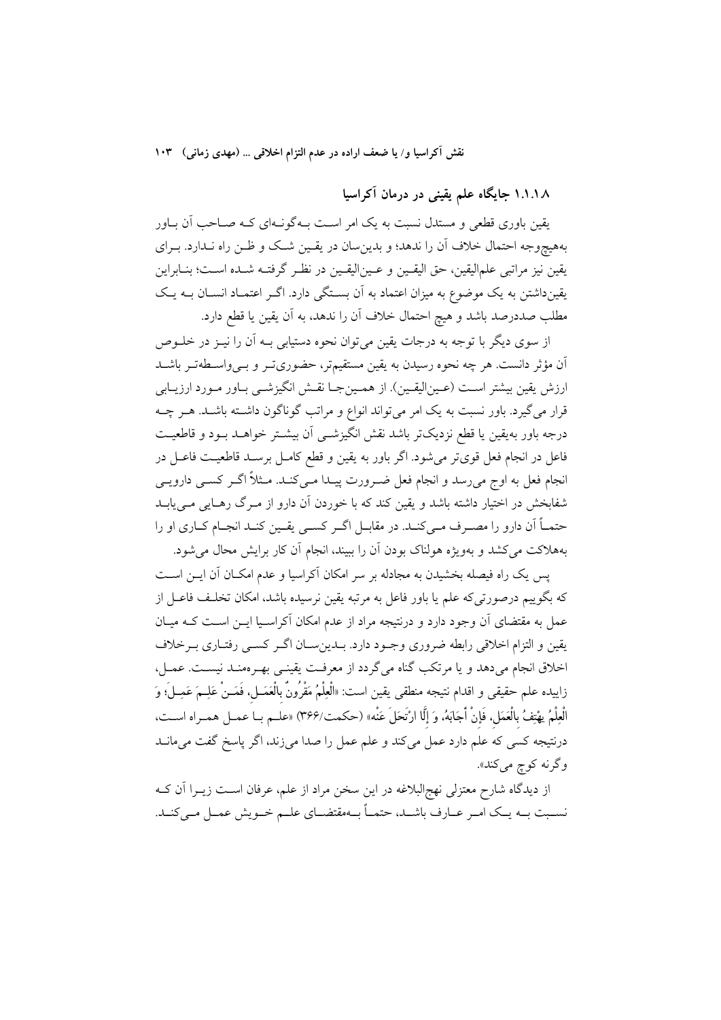نقش آکراسیا و/ یا ضعف اراده در عدم التزام اخلاقی … (مهدی زمانی) ۱۰۳

۱.۱.۱۸ جایگاه علم یقینی در درمان آکراسیا

یقین باوری قطعی و مستدل نسبت به یک امر اسـت بــهگونــهای کــه صــاحب آن بــاور بههیچوجه احتمال خلاف آن را ندهد؛ و بدین سان در یقـین شـک و ظـن راه نـدارد. بـرای يقين نيز مراتبي علماليقين، حق اليقــين و عــين|ليقــين در نظـر گرفتــه شــده اســت؛ بنــابراين یقینداشتن به یک موضوع به میزان اعتماد به آن بستگی دارد. اگـر اعتمـاد انسـان بــه یـک مطلب صددرصد باشد و هيچ احتمال خلاف آن را ندهد، به آن يقين يا قطع دارد.

از سوی دیگر با توجه به درجات یقین می توان نحوه دستیابی بـه آن را نیــز در خلــوص آن مؤثر دانست. هر چه نحوه رسیدن به یقین مستقیمتر، حضوریتو و بـیواسـطهتـر باشــد ارزش يقين بيشتر اسـت (عـين|ليقـين). از همـينجـا نقـش انگيزشـي بـاور مـورد ارزيـابي قرار میگیرد. باور نسبت به یک امر میتواند انواع و مراتب گوناگون داشــته باشــد. هــر چــه درجه باور بهيقين يا قطع نزديكتر باشد نقش انگيزشــي آن بيشــتر خواهــد بــود و قاطعيــت فاعل در انجام فعل قوىتر مى شود. اگر باور به يقين و قطع كامـل برسـد قاطعيـت فاعـل در انجام فعل به اوج میرسد و انجام فعل ضـرورت پیـدا مـیکنـد. مـثلاً اگـر کسـی دارویـی شفابخش در اختیار داشته باشد و یقین کند که با خوردن آن دارو از مـرگ رهـایی مـیbیابـد حتمــاً اّن دارو را مصــرف مــى كنــد. در مقابــل اگــر كســى يقــين كنــد انجــام كــارى او را بههلاکت می کشد و بهویژه هولناک بودن آن را ببیند، انجام آن کار برایش محال می شود.

یس یک راه فیصله بخشیدن به مجادله بر سر امکان آکراسیا و عدم امکـان آن ایــن اســت که بگوییم درصورتیکه علم یا باور فاعل به مرتبه یقین نرسیده باشد، امکان تخلـف فاعــل از عمل به مقتضای آن وجود دارد و درنتیجه مراد از عدم امکان آکراسـیا ایــن اســت کــه میــان يقين و التزام اخلاقي رابطه ضروري وجـود دارد. بــدينســان اگــر كســي رفتــاري بــرخلاف اخلاق انجام می دهد و یا مرتکب گناه می گردد از معرفت یقینـی بهـرهمنـد نیسـت. عمـل، زاييده علم حقيقى و اقدام نتيجه منطقى يقين است: «الْعِلْمُ مَقْرُونٌ بالْعَصَلِ، فَمَـنْ عَلِـمَ عَمِـلَ؛ وَ الْعِلْمُ يهْتِفُ بِالْعَمَلِ، فَإِنْ أَجَابَهُ، وَ إِلَّا ارْتَحَلَ عَنْه» (حكمت/٣۶۶) «علــم بــا عمــل همــراه اســت، درنتیجه کسی که علم دارد عمل میکند و علم عمل را صدا میزند، اگر پاسخ گفت میمانــد وگرنه کوچ ميکند».

از دیدگاه شارح معتزلی نهجالبلاغه در این سخن مراد از علم، عرفان است زیــرا آن کــه نسـبت بــه يــك امــر عــارف باشــد، حتمــاً بــهمقتضــاي علــم خــويش عمــل مــىكنــد.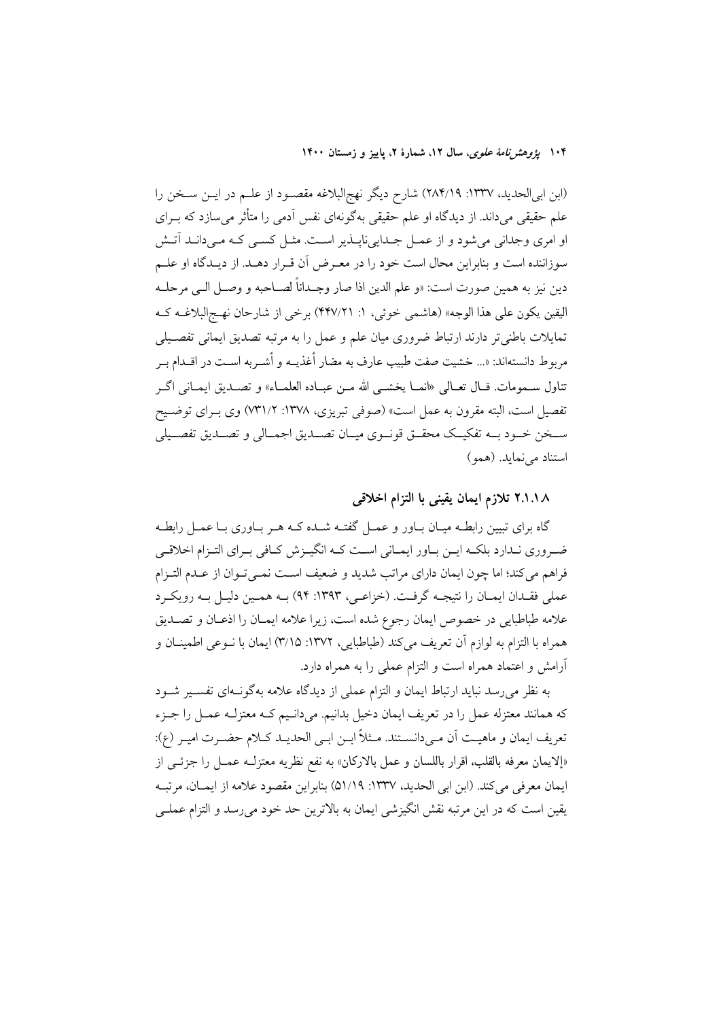۱۰۴ پژ*وهشرنامهٔ علوی*، سال ۱۲، شمارهٔ ۲، پاییز و زمستان ۱۴۰۰

(ابن ابی|لحدید، ۱۳۳۷: ۲۸۴/۱۹) شارح دیگر نهج|لبلاغه مقصـود از علــم در ایــن ســخن را علم حقیقی می داند. از دیدگاه او علم حقیقی بهگونهای نفس آدمی را متأثر می سازد که بـرای او امری وجدانی میشود و از عمـل جـداییiپـذیر اسـت. مثـل کسـی کـه مـیدانـد آتـش سوزاننده است و بنابراین محال است خود را در معـرض آن قـرار دهــد. از دیــدگاه او علــم دين نيز به همين صورت است: «و علم الدين اذا صار وجــداناً لصــاحبه و وصــل الــي مرحلــه اليقين يكون على هذا الوجه» (هاشمي خوئي، ١: ٢٤٧/٢١) برخي از شارحان نهج البلاغـه كـه تمايلات باطني تر دارند ارتباط ضروري ميان علم و عمل را به مرتبه تصديق ايماني تفصـيلي مربوط دانستهاند: «... خشيت صفت طبيب عارف به مضار أغذيــه و أشــربه اســت در اقــدام بــر تناول سـمومات. قـال تعـالى «انمــا يخشــي الله مــن عبــاده العلمــاء» و تصــديق ايمــاني اگــر تفصيل است، البته مقرون به عمل است» (صوفي تبريزي، ١٣٧٨: ٧٣١/٢) وي بـراي توضـيح ســخن خــود بــه تفكيــك محقــق قونــوى ميــان تصــديق اجمــالى و تصــديق تفصــيلى استناد می نماید. (همو)

۲.۱.۱ X تلازم ایمان یقینی با التزام اخلاقی

گاه برای تبیین رابطـه میـان بــاور و عمــل گفتــه شــده کــه هــر بــاوری بــا عمــل رابطــه ضروری نـدارد بلکـه ايــن بــاور ايمــاني اسـت کــه انگيــزش کــافي بــراي التــزام اخلاقــي فراهم مي كند؛ اما چون ايمان داراي مراتب شديد و ضعيف است نمـيتوان از عـدم التـزام عملي فقـدان ايمـان را نتيجـه گرفـت. (خزاعـي، ١٣٩٣: ٩۴) بـه همـين دليـل بـه رويكـرد علامه طباطبايي در خصوص ايمان رجوع شده است، زيرا علامه ايمـان را اذعـان و تصـديق همراه با التزام به لوازم آن تعريف مي كند (طباطبايي، ١٣٧٢: ٣/١۵) ايمان با نــوعي اطمينــان و آرامش و اعتماد همراه است و التزام عملی را به همراه دارد.

به نظر می رسد نباید ارتباط ایمان و التزام عملی از دیدگاه علامه بهگونـهای تفسـیر شـود که همانند معتزله عمل را در تعریف ایمان دخیل بدانیم. میدانـیم کـه معتزلـه عمـل را جـزء تعريف ايمان و ماهيت آن مـيدانسـتند. مـثلاً ابـن ابـي الحديـد كـلام حضـرت اميـر (ع): «إلايمان معرفه بالقلب، اقرار باللسان و عمل بالاركان» به نفع نظريه معتزلـه عمـل را جزئـي از ايمان معرفي مي كند. (ابن ابي الحديد، ١٣٣٧: ٥١/١٩) بنابراين مقصود علامه از ايمــان، مرتبــه يقين است كه در اين مرتبه نقش انگيزشي ايمان به بالاترين حد خود مي رسد و التزام عملـي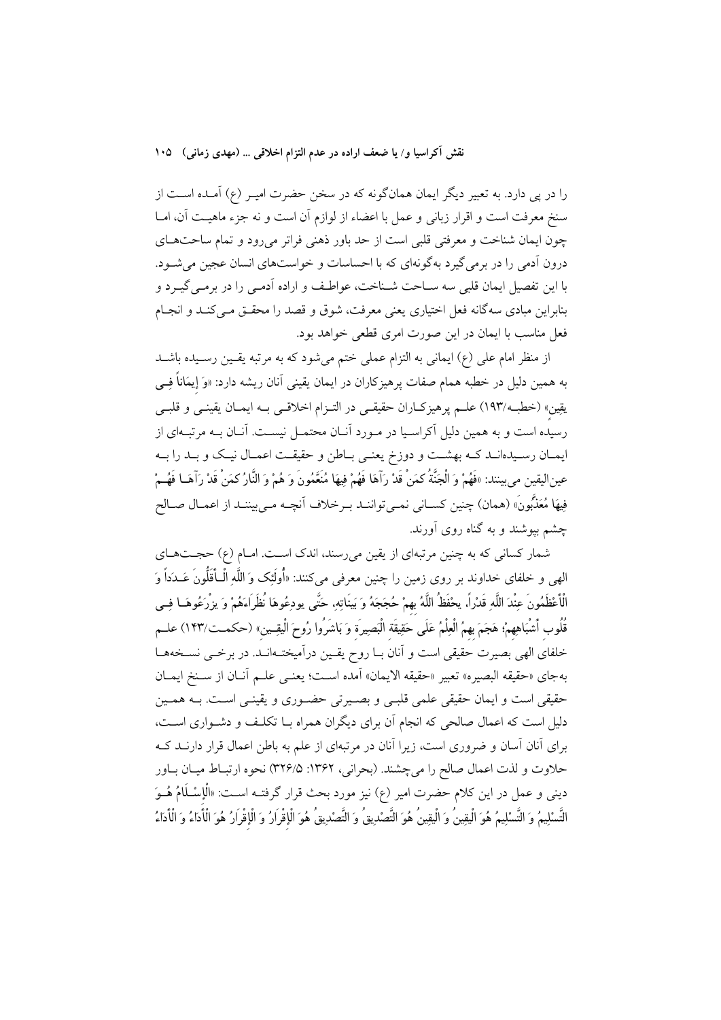نقش آکراسیا و/ یا ضعف اراده در عدم التزام اخلاقی … (مهدی زمانی) ۱۰۵

را در پی دارد. به تعبیر دیگر ایمان همانگونه که در سخن حضرت امیـر (ع) آمـده اســت از سنخ معرفت است و اقرار زبانی و عمل با اعضاء از لوازم آن است و نه جزء ماهیت آن، امــا چون ایمان شناخت و معرفتی قلبی است از حد باور ذهنی فراتر می رود و تمام ساحتهای درون آدمی را در برمی گیرد به گونهای که با احساسات و خواستهای انسان عجین می شـود. با اين تفصيل ايمان قلبي سه ســاحت شــناخت، عواطـف و اراده آدمــي را در برمــي گيــرد و بنابراین مبادی سهگانه فعل اختیاری یعنی معرفت، شوق و قصد را محقـق مـیکنـد و انجـام فعل مناسب با ایمان در این صورت امری قطعی خواهد بود.

از منظر امام علی (ع) ایمانی به التزام عملی ختم میشود که به مرتبه یقـین رسـیده باشـد به همین دلیل در خطبه همام صفات پرهیزکاران در ایمان یقینی آنان ریشه دارد: «وَ إیمَاناً فِــی يقِين» (خطبه/١٩٣) علــم پرهيزكــاران حقيقــي در التــزام اخلاقــي بــه ايمــان يقينــي و قلبــي رسیده است و به همین دلیل آکراسـیا در مـورد آنــان محتمــل نیســت. آنــان بــه مرتبــهای از ایمـان رسـیدهانــد کــه بهشــت و دوزخ یعنــی بــاطن و حقیقــت اعمــال نیــک و بــد را بــه عينِ!ليقين مي بينند: «فَهُمْ وَ الْجَنَّةُ كمَنْ قَدْ رَآهَا فَهُمْ فِيهَا مُنَعَّمُونَ وَ هُمْ وَ النَّارُ كمَنْ قَدْ رَآهَـا فَهُــمْ فِيهَا مُعَذَّبُونَ» (همان) چنين كسـاني نمـيتواننـد بـرخلاف أنچـه مـيبيننـد از اعمـال صـالح چشم بیوشند و به گناه روی آورند.

شمار کسانی که به چنین مرتبهای از یقین میرسند، اندک اسـت. امـام (ع) حجـتهـای الهي و خلفاي خداوند بر روي زمين را چنين معرفي ميكنند: «أُولَئِك وَ اللَّهِ الْــأَقَلُّونَ عَــدَداً وَ الْأَعْظَمُونَ عِنْدَ اللَّهِ قَدْراً، يحْفَظُ اللَّهُ بهمْ حُجَجَهُ وَ بَينَاتِهِ، حَتَّى يودِعُوهَا نُظَرَاءَهُمْ وَ يزْرَعُوهَــا فِــى قُلُوب أَشْبَاهِهمْ؛ هَجَمَ بهمُ الْعِلْمُ عَلَى حَقِيقَة الْبَصِيرَة وَ بَاشَرُوا رُوحَ الْيقِـينِ» (حكمــت/١۴٣) علــم خلفای الهی بصیرت حقیقی است و آنان بـا روح یقـین درآمیختـهانـد. در برخـی نســخههـا بهجاي «حقيقه البصيره» تعبير «حقيقه الايمان» آمده اسـت؛ يعنـي علــم آنــان از ســنخ ايمــان حقیقی است و ایمان حقیقی علمی قلبـی و بصـیرتی حضـوری و یقینـی اسـت. بـه همـین دلیل است که اعمال صالحی که انجام آن برای دیگران همراه بــا تکلـف و دشــواری اســت، برای آنان آسان و ضروری است، زیرا آنان در مرتبهای از علم به باطن اعمال قرار دارنــد کــه حلاوت و لذت اعمال صالح را میچشند. (بحرانی، ۱۳۶۲: ۳۲۶/۵) نحوه ارتبـاط میــان بــاور دینی و عمل در این کلام حضرت امیر (ع) نیز مورد بحث قرار گرفتــه اســت: «اْلْإِسْـلَامُ هُــوَ التَّسْلِيمُ وَ التَّسْلِيمُ هُوَ الْيقِينُ وَ الْيقِينُ هُوَ التَّصْدِيقُ وَ التَّصْدِيقُ هُوَ الْإِقْرَارُ وَ الْإِقْرَارُ هُوَ الْأَدَاءُ وَ الْأَدَاءُ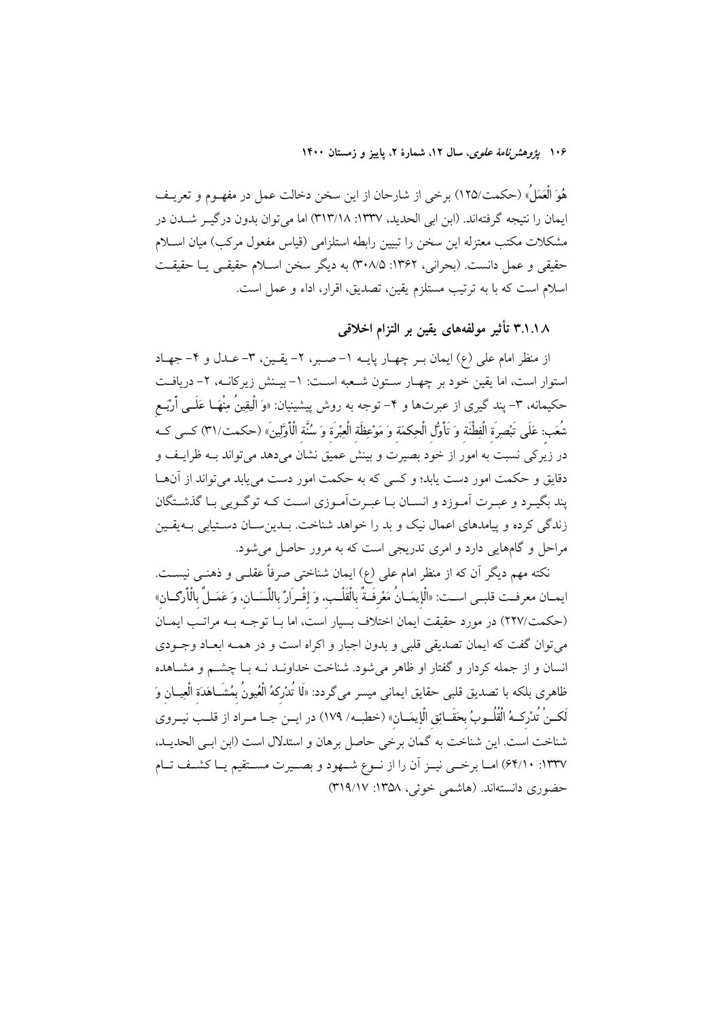۱۰۶ پژ*وهشرنامهٔ علوی*، سال ۱۲، شمارهٔ ۲، پاییز و زمستان ۱۴۰۰

هُوَ الْعَمَلُ» (حكمت/١٢۵) برخي از شارحان از اين سخن دخالت عمل در مفهــوم و تعريــف ایمان را نتیجه گرفتهاند. (این ایل الحدید، ۱۳۳۷: ۱۳۳۸) اما می توان بدون در گیـر شــدن در مشکلات مکتب معتزله این سخن را تبیین رابطه استلزامی (قیاس مفعول مرکب) میان اسـلام حقيقي و عمل دانست. (بحراني، ١٣۶٢: ٣٠٨/۵) به ديگر سخن اسـلام حقيقـي يــا حقيقــت اسلام است كه با به ترتيب مستلزم يقين، تصديق، اقرار، اداء و عمل است.

۳.۱.۱۸ تأثیر مولفههای یقین بر التزام اخلاقی

از منظر امام علی (ع) ایمان بـر چهـار پایــه ١–صــبر، ٢– یقـین، ٣–عــدل و ۴–جهـاد استوار است، اما يقين خود بر چهـار سـتون شـعبه اسـت: ١- بيـنش زيركانــه، ٢- دريافـت حکیمانه، ۳- پند گیری از عبرتها و ۴- توجه به روش پیشینیان: «وَ الْیقِینُ مِنْهَــا عَلَــی أَرْبَــع شُعَب: عَلَى تَبْصِرَة الْفِطْنَة وَ تَأْوُّل الْحِكمَة وَ مَوْعِظَة الْعِبْرَة وَ سُنَّة الْأَوَّلِينَ» (حكمت/٣١) كسى كـه در زیرکی نسبت به امور از خود بصیرت و بینش عمیق نشان میدهد میتواند بـه ظرایـف و دقایق و حکمت امور دست پابد؛ و کسی که به حکمت امور دست می پابد می تواند از آنهــا پند بگیــرد و عبــرت اَمــوزد و انســان بــا عبــرتاَمــوزی اســت کــه توگــویی بــا گذشــتگان زندگی کرده و پیامدهای اعمال نیک و بد را خواهد شناخت. بــدین ســان دســتیابی بــهیقــین مراحل و گامهایی دارد و امری تدریجی است که به مرور حاصل می شود.

نکته مهم دیگر آن که از منظر امام علی (ع) ایمان شناختی صرفاً عقلـی و ذهنـی نیســت. ايمـان معرفـت قلبـي اسـت: «الْإِيمَـانُ مَعْرِفَـةٌ بِالْقَلْـبِ، وَ إِقْـرَارٌ بِاللِّسَـانِ، وَ عَمَـلٌ بِالْأرْكـان» (حکمت/۲۲۷) در مورد حقیقت ایمان اختلاف بسیار است، اما با توجیه بیه مراتب ایمیان مي توان گفت كه ايمان تصديقي قلبي و بدون اجبار و اكراه است و در همـه ابعـاد وجــودي انسان و از جمله کردار و گفتار او ظاهر می شود. شناخت خداونـد نــه بــا چشــم و مشــاهده ظاهری بلکه با تصدیق قلبی حقایق ایمانی میسر میگردد: «لَما تُدْرِكهُ الْعُيونُ بِمُشَــاهَدَة الْعِيــان وَ لَكـنْ تُدْركــهُ الْقُلُــوبُ بحَقَــائِق الْإِيمَــانِ» (خطبــه/ ١٧٩) در ايــن جــا مــراد از قلــب نيــروي شناخت است. اين شناخت به گمان برخي حاصل برهان و استدلال است (ابن ابـي الحديـد، ١٣٣٧: ٤٤/١٠) امـا برخــي نيــز أن را از نــوع شــهود و بصــيرت مســتقيم يــا كشــف تــام حضوري دانستهاند. (هاشمي خوئي، ١٣۵٨: ٣١٩/١٧)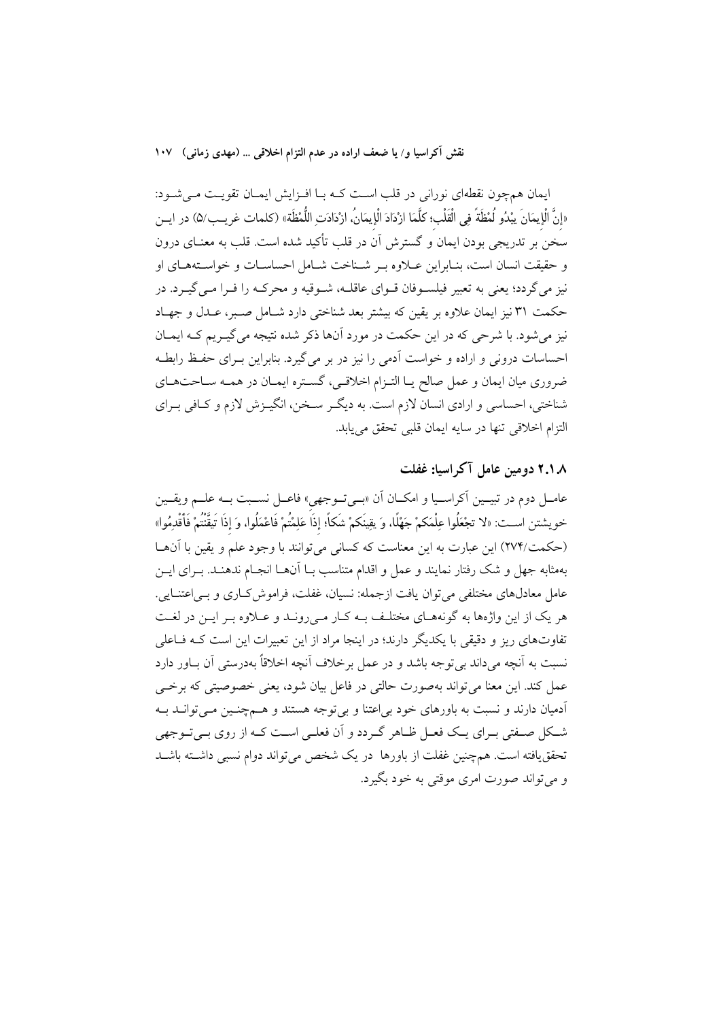نقش آكراسيا و/ يا ضعف اراده در عدم التزام اخلاقي … (مهدي زماني) ١٠٧

ایمان همچون نقطهای نورانی در قلب است کـه بـا افـزایش ایمـان تقویـت مـیشـود: «إِنَّ الْإِيمَانَ يبْدُو لُمْظَةً فِي الْقَلْبِ؛ كلَّمَا ازْدَادَ الْإِيمَانُ، ازْدَادَتِ اللُّمْظَة» (كلمات غريـب/۵) در ايــز سخن بر تدریجی بودن ایمان و گسترش آن در قلب تأکید شده است. قلب به معنــای درون و حقيقت انسان است، بنـابراين عــلاوه بـر شــناخت شــامل احساســات و خواســتههــاي او .<br>نیز می گردد؛ یعنی به تعبیر فیلسـوفان قـوای عاقلـه، شـوقیه و محرکـه را فـرا مـی گیـرد. در حکمت ٣١ نيز ايمان علاوه بر يقين که بيشتر بعد شناختي دارد شـامل صـير، عـيدل و جهـاد نیز می شود. با شرحی که در این حکمت در مورد آنها ذکر شده نتیجه می گیـریم کــه ایمــان احساسات درونی و اراده و خواست آدمی را نیز در بر میگیرد. بنابراین بـرای حفـظ رابطـه ضروري ميان ايمان و عمل صالح يــا التــزام اخلاقــي، گســتره ايمــان در همــه ســاحتهــاي شناختی، احساسی و ارادی انسان لازم است. به دیگر سـخن، انگیـزش لازم و کـافی بـرای التزام اخلاقی تنها در سایه ایمان قلبی تحقق می یابد.

# ۲.۱.۸ دومین عامل آکراسیا: غفلت

عامــل دوم در تبيــين أكراســيا و امكــان أن «بــيتــوجهي» فاعــل نســبت بــه علــم ويقــين خويشتن اســت: «لا تجْعَلُوا عِلْمَكمْ جَهْلًا، وَ يقِينَكمْ شَكاً؛ إذَاً عَلِمْتُمْ فَاعْمَلُوا، وَ إذَا تَيقَنْتُمْ فَأَقْدِمُوا» (حکمت/۲۷۴) این عبارت به این معناست که کسانی می توانند با وجود علم و یقین با آنهــا بهمثابه جهل و شک رفتار نمایند و عمل و اقدام متناسب بــا آنهــا انجــام ندهنــد. بــرای ایــن عامل معادلهای مختلفی می توان یافت ازجمله: نسیان، غفلت، فراموش کــاری و بــی|عتنــایی. هر یک از این واژهها به گونههـای مختلـف بـه کـار مـی(ونـد و عــلاوه بـر ایـن در لغـت تفاوتهای ریز و دقیقی با یکدیگر دارند؛ در اینجا مراد از این تعبیرات این است کـه فــاعلی نسبت به آنچه می داند بی توجه باشد و در عمل برخلاف آنچه اخلاقاً بهدرستی آن بـاور دارد عمل کند. این معنا می تواند بهصورت حالتی در فاعل بیان شود، یعنی خصوصیتی که برخے أدمیان دارند و نسبت به باورهای خود بی اعتنا و بی توجه هستند و هــمچنـین مــی توانــد بــه شکل صـفتي بـراي يـک فعـل ظـاهر گـردد و اَن فعلـي اسـت کـه از روي بـيتـوجهي تحققیافته است. همچنین غفلت از باورها ً در یک شخص می تواند دوام نسبی داشته باشـد و مي تواند صورت امري موقتي به خود بگيرد.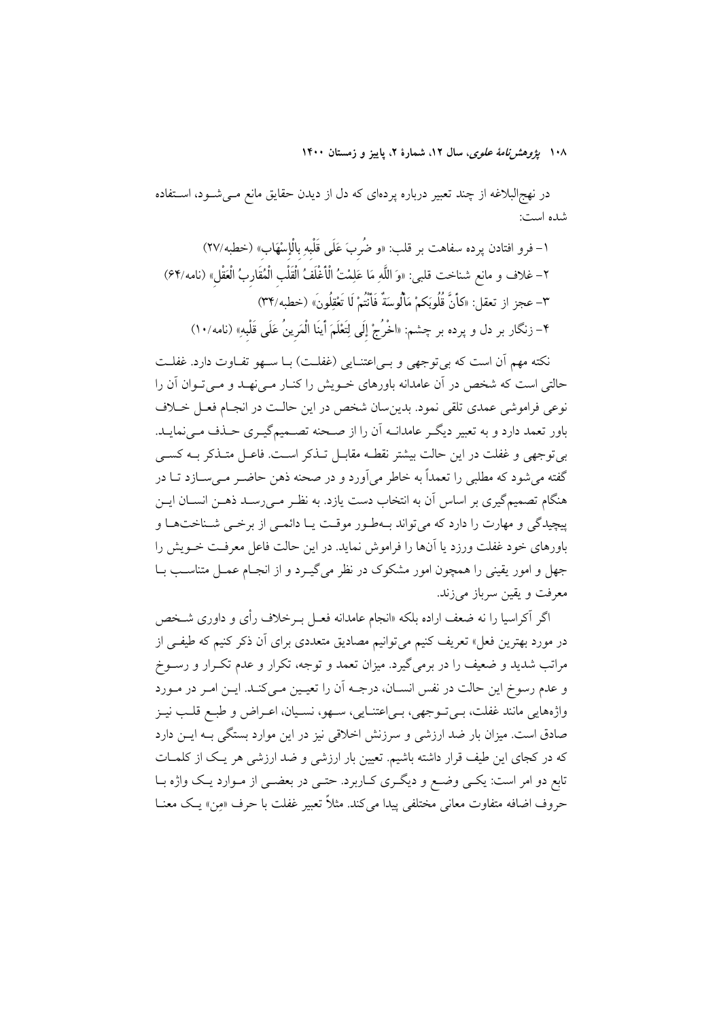۱۰۸ پژ*وهشرنامهٔ علوی*، سال ۱۲، شمارهٔ ۲، پاییز و زمستان ۱۴۰۰

در نهج|لبلاغه از چند تعبیر درباره پردهای که دل از دیدن حقایق مانع مــیشــود، اســتفاده شده است:

۱– فرو افتادن پرده سفاهت بر قلب: «و ضُربَ عَلَى قَلْبهِ بالْإِسْهَابِ» (خطبه/۲۷) ٢– غلاف و مانع شناخت قلبي: «وَ اللَّهِ مَا عَلِمْتُ الْأَغْلَفُ الْقَلْبِ الْمُقَارِبُ الْعَقْلِ» (نامه/۶۴) ٣- عجز از تعقل: «كَأَنَّ قُلُوبَكمْ مَأْلُوسَةٌ فَأَنْتُمْ لَا تَعْقِلُونَ» (خطبه/٣۴) ۴– زنگار بر دل و پرده بر چشم: «اخْرُجْ إلَى لِتَعْلَمَ أينَا الْمَرينُ عَلَى قَلْبهِ» (نامه/١٠)

نکته مهم آن است که بی توجهی و بـی|عتنـایی (غفلـت) بـا سـهو تفـاوت دارد. غفلـت حالتی است که شخص در آن عامدانه باورهای خـویش را کنــار مــی'فهــد و مــی تــوان آن را .<br>نوعی فراموشی عمدی تلقی نمود. بدین سان شخص در این حالـت در انجـام فعـل خــلاف باور تعمد دارد و به تعبیر دیگـر عامدانــه آن را از صــحنه تصــمیمگیــری حــذف مــی نمایــد. بی توجهی و غفلت در این حالت بیشتر نقطـه مقابـل تـذکر اسـت. فاعـل متـذکر بـه کسـی گفته میشود که مطلبی را تعمداً به خاطر میآورد و در صحنه ذهن حاضـر مـیسـازد تــا در هنگام تصمیمگیری بر اساس آن به انتخاب دست یازد. به نظـر مـی(سـد ذهــن انســان ایــن پیچیدگی و مهارت را دارد که می تواند بـهطـور موقـت یـا دائمـی از برخـی شـناختهـا و باورهای خود غفلت ورزد یا آنها را فراموش نماید. در این حالت فاعل معرفت خــویش را جهل و امور یقینی را همچون امور مشکوک در نظر میگیـرد و از انجـام عمـل متناسـب بـا معرفت و یقین سرباز مے زند.

اگر آکراسیا را نه ضعف اراده بلکه «انجام عامدانه فعـل بـرخلاف رأی و داوری شـخص در مورد بهترین فعل» تعریف کنیم می توانیم مصادیق متعددی برای آن ذکر کنیم که طیف<sub>ت</sub>ی از مراتب شدید و ضعیف را در برمی گیرد. میزان تعمد و توجه، تکرار و عدم تکـرار و رســوخ و عدم رسوخ این حالت در نفس انســان، درجــه آن را تعیــین مــیکنــد. ایــن امــر در مــورد واژههایی مانند غفلت، بـی تـوجهی، بـی|عتنـایی، سـهو، نسـیان، اعـراض و طبـع قلـب نیـز صادق است. میزان بار ضد ارزشی و سرزنش اخلاقی نیز در این موارد بستگی بــه ایــن دارد که در کجای این طیف قرار داشته باشیم. تعیین بار ارزشی و ضد ارزشی هر یک از کلمـات تابع دو امر است: یکمی وضع و دیگری کـاربرد. حتـی در بعضـی از مـوارد یـک واژه بــا حروف اضافه متفاوت معاني مختلفي پيدا مي كند. مثلاً تعبير غفلت با حرف «من» يـك معنــا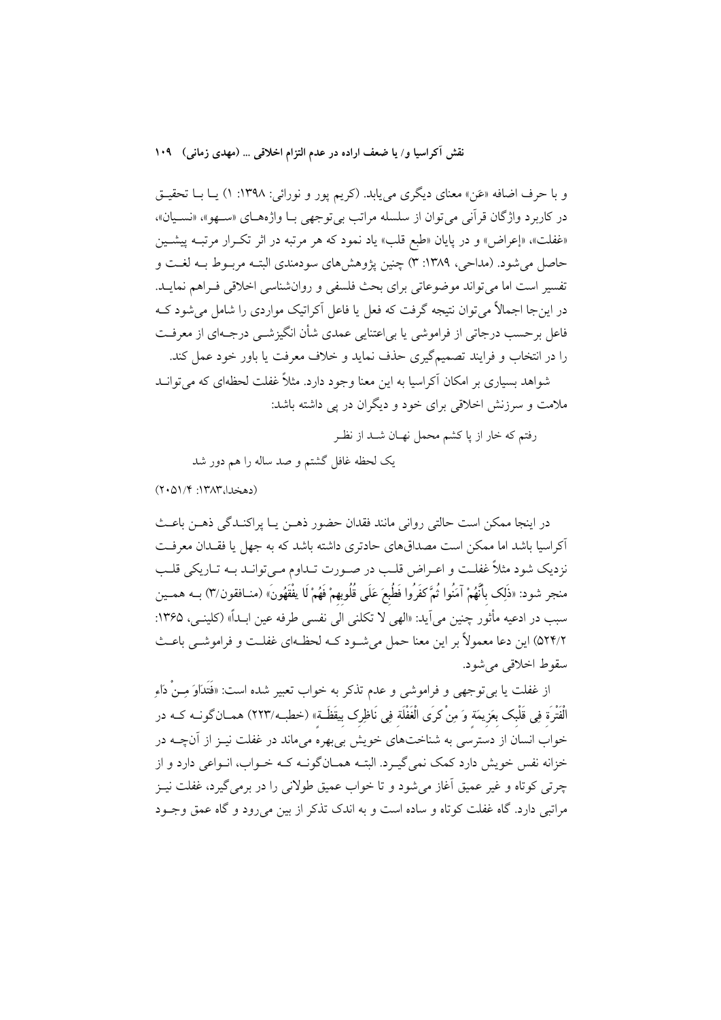نقش آكراسيا و/ يا ضعف اراده در عدم التزام اخلاقي … (مهدى زماني) ١٠٩

و با حرف اضافه «عَن» معناي ديگري مي يابد. (كريم پور و نورائي: ١٣٩٨: ١) يــا بــا تحقيــق در كاربرد واژگان قرآني مي توان از سلسله مراتب بي توجهي بـا واژههـاي «سـهو»، «نسـيان»، «غفلت»، «إعراض» و در پایان «طبع قلب» یاد نمود که هر مرتبه در اثر تکـرار مرتبـه پیشـین حاصل مي شود. (مداحي، ١٣٨٩: ٣) چنين يژوهش هاي سودمندي البتـه مربـوط بـه لغـت و تفسير است اما مي تواند موضوعاتي براي بحث فلسفي و روان شناسي اخلاقي فـراهم نمايـد. در این جا اجمالاً می توان نتیجه گرفت که فعل یا فاعل آکراتیک مواردی را شامل می شود ک فاعل برحسب درجاتی از فراموشی یا بی|عتنایی عمدی شأن انگیزشــی درجــهای از معرفــت را در انتخاب و فرایند تصمیمگیری حذف نماید و خلاف معرفت یا باور خود عمل کند. شواهد بسیاری بر امکان آکراسیا به این معنا وجود دارد. مثلاً غفلت لحظهای که می توانــد

ملامت و سرزنش اخلاقی برای خود و دیگران در پی داشته باشد:

رفتم كه خار از پا كشم محمل نهـان شـد از نظـر

یک لحظه غافل گشتم و صد ساله را هم دور شد

 $(Y \cdot \Delta)/Y \cdot (Y \wedge Y \cup \Delta)$ 

در اینجا ممکن است حالتی روانی مانند فقدان حضور ذهــن یــا پراکنــدگی ذهــن باعــث آکراسیا باشد اما ممکن است مصداقهای حادتری داشته باشد که به جهل یا فقـدان معرفـت نزديک شود مثلاً غفلـت و اعـراض قلـب در صـورت تـداوم مـي توانـد بــه تـاريکي قلـب منجر شود: «ذَلِك بأَنَّهُمْ آمَنُوا ثُمَّ كفَرُوا فَطُبعَ عَلَى قُلُوبِهمْ فَهُمْ لَا يفْقَهُونَ» (منـافقون/٣) بــه همــين سبب در ادعيه مأثور چنين مي آيد: «الهي لا تكلني الي نفسي طرفه عين ابـداً» (كلينـي، ١٣۶۵: ٥٢٣/٢) ابن دعا معمولاً بر اين معنا حمل مي شـود كـه لحظـهاي غفلـت و فراموشـي باعـث سقوط اخلاقی می شود.

از غفلت یا بیتوجهی و فراموشی و عدم تذکر به خواب تعبیر شده است: «فَتَدَاوَ مِـنْ دَاءِ الْفَتْرَة فِي قَلْبِك بِعَزِيمَة وَ مِنْ كرَى الْغَفْلَة فِي نَاظِرِك بِيقَظَـةٍ» (خطبـ4٬۲۲۳) همــان گونــه كــه در خواب انسان از دسترسی به شناختهای خویش بی بهره میماند در غفلت نیـز از آنچــه در خزانه نفس خویش دارد کمک نمی گیـرد. البتــه همــانگونــه کــه خــواب، انــواعی دارد و از چرتی کوتاه و غیر عمیق اّغاز می شود و تا خواب عمیق طولانی را در برمی گیرد، غفلت نیـز مراتبي دارد. گاه غفلت كوتاه و ساده است و به اندك تذكر از بين مي رود و گاه عمق وجـود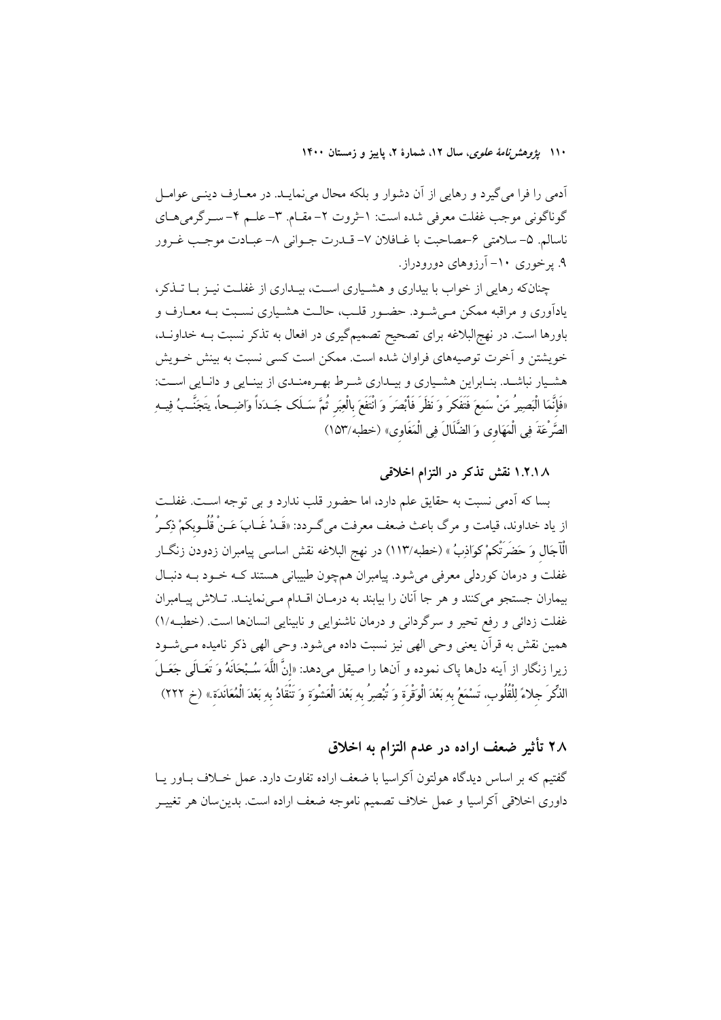۱۱۰ بیر*وهش نامهٔ علوی*، سال ۱۲، شمارهٔ ۲، پاییز و زمستان ۱۴۰۰

اّدمی را فرا می گیرد و رهایی از آن دشوار و بلکه محال میٖنمایـد. در معــارف دینــی عوامــل گوناگونی موجب غفلت معرفی شده است: ۱-ثروت ۲- مقـام. ۳- علـم ۴- سـرگرمی هـای ناسالم. ۵- سلامتی ۶-مصاحبت با غـافلان ۷- قــدرت جــوانی ۸- عبــادت موجــب غــرور ۹. پرخوری ۱۰- آرزوهای دورودراز.

چنانکه رهایی از خواب با بیداری و هشـیاری اسـت، بیـداری از غفلـت نیـز بـا تــذکر، یادآوری و مراقبه ممکن مـیشـود. حضـور قلـب، حالـت هشـیاری نسـبت بـه معـارف و باورها است. در نهج|لبلاغه برای تصحیح تصمیمگیری در افعال به تذکر نسبت بــه خداونــد، خویشتن و آخرت توصیههای فراوان شده است. ممکن است کسی نسبت به بینش خــویش هشـیار نباشـد. بنـابراین هشـیاری و بیـداری شـرط بهـرهمنـدی از بینـایی و دانـایی اسـت: «فَإِنَّمَا الْبَصِيرُ مَنْ سَمِعَ فَتَفَكَّرَ وَ نَظَرَ فَأَبْصَرَ وَ انْتَفَعَ بِالْعِبَرِ ثُمَّ سَـلَك جَـدَداً وَاضِـحاً، يتَجَنَّـبُ فِيــهِ الصَّرْعَةَ فِي الْمَهَاوِي وَ الضَّلَالَ فِي الْمَغَاوِي» (خطبه/١٥٣)

١.٢.١٨ نقش تذكر در التزام اخلاقى

بسا كه آدمى نسبت به حقايق علم دارد، اما حضور قلب ندارد و بى توجه اسـت. غفلـت از یاد خداوند، قیامت و مرگ باعث ضعف معرفت میگــردد: «قَــدْ غَــابَ عَــنْ قُلُــوبكمْ ذِكــرُ الْآجَال وَ حَضَرَتْكمْ كواذِبُ » (خطبه/١١٣) در نهج البلاغه نقش اساس<sub>مى</sub> پيامبران زدودن زنگــار غفلت و درمان کوردلی معرفی می شود. پیامبران همچون طبیبانی هستند کـه خـود بــه دنبـال بیماران جستجو می کنند و هر جا آنان را بیابند به درمـان اقـدام مـی نماینــد. تــلاش پیــامبران غفلت زدائی و رفع تحیر و سرگردانی و درمان ناشنوایی و نابینایی انسانها است. (خطبه/۱) همین نقش به قرآن یعنی وحی الهی نیز نسبت داده میشود. وحی الهی ذکر نامیده مـیشـود زيرا زنگار از آينه دلها ياک نموده و آنها را صيقل ميدهد: «إنَّ اللَّهَ سُـبْحَانَهُ وَ تَعَـالَمِي جَعَــلَ الذِّكْرَ جلاءً لِلْقُلُوبِ، تَسْمَعُ بِهِ بَعْدَ الْوَقْرَة وَ تُبْصِرُ بِهِ بَعْدَ الْعَشْوَة وَ تَنْقَادُ بهِ بَعْدَ الْمُعَانَدَة » (خ ٢٢٢)

۲۸ تأثیر ضعف اراده در عدم التزام به اخلاق

گفتیم که بر اساس دیدگاه هولتون آکراسیا با ضعف اراده تفاوت دارد. عمل خــلاف بــاور یــا داوری اخلاقی أکراسیا و عمل خلاف تصمیم ناموجه ضعف اراده است. بدین سان هر تغییــر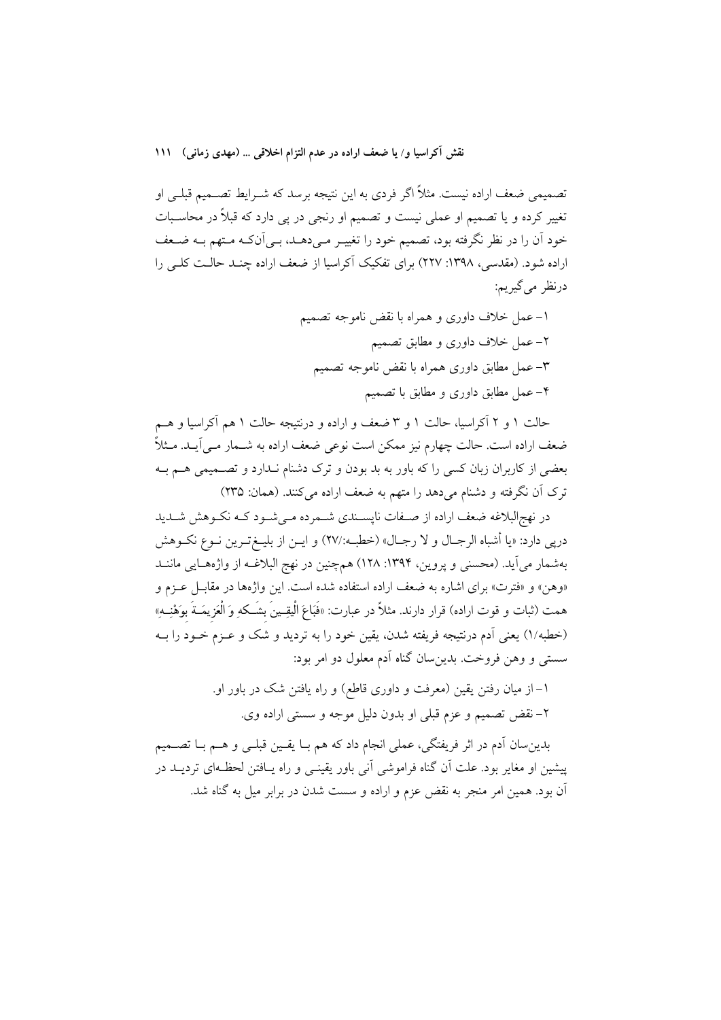نقش آكراسيا و/ يا ضعف اراده در عدم التزام اخلاقي … (مهدى زماني) ١١١

تصمیمی ضعف اراده نیست. مثلاً اگر فردی به این نتیجه برسد که شــرایط تصــمیم قبلــی او تغییر کرده و یا تصمیم او عملی نیست و تصمیم او رنجی در یی دارد که قبلاً در محاسـبات خود آن را در نظر نگرفته بود، تصمیم خود را تغییـر مـیدهــد، بـی]ننکـه مـتهم بـه ضـعف اراده شود. (مقدسی، ۱۳۹۸: ۲۲۷) برای تفکیک آکراسیا از ضعف اراده چنـد حالـت کلـی را درنظر مي گيريم:

> ۱–عمل خلاف داوری و همراه با نقض ناموجه تصمیم ۲– عمل خلاف داوری و مطابق تصمیم ٣- عمل مطابق داوري همراه با نقض ناموجه تصميم ۴– عمل مطابق داوری و مطابق با تصمیم

حالت ۱ و ۲ آکراسیا، حالت ۱ و ۳ ضعف و اراده و درنتیجه حالت ۱ هم آکراسیا و هــم ضعف اراده است. حالت چهارم نیز ممکن است نوعی ضعف اراده به شــمار مــی اَیــد. مــثلاً بعضی از کاربران زبان کسی را که باور به بد بودن و ترک دشنام نـدارد و تصــمیمی هــم بــه ترک آن نگرفته و دشنام میدهد را متهم به ضعف اراده میکنند. (همان: ۲۳۵)

در نهج البلاغه ضعف اراده از صـفات نايســندي شــمرده مــي شــود كــه نكــوهش شــديد دريي دارد: «يا أشباه الرجـال و لا رجـال» (خطبــه:/٢٧) و ايــن از بليــغتــرين نــوع نكــوهش بهشمار می آید. (محسنی و پروین، ۱۳۹۴: ۱۲۸) همچنین در نهج البلاغـه از واژههـایی ماننــد «وهن» و «فترت» براي اشاره به ضعف اراده استفاده شده است. اين واژهها در مقابـل عـزم و همت (ثبات و قوت اراده) قرار دارند. مثلاً در عبارت: «فَبَاعَ الْيقِــينَ بِشَــكهِ وَ الْعَزِيمَــةَ بوَهْنِــهِ» (خطبه/١) يعني أدم درنتيجه فريفته شدن، يقين خود را به ترديد و شک و عـزم خـود را بــه سستی و وهن فروخت. بدین سان گناه آدم معلول دو امر بود:

> ۱– از میان رفتن یقین (معرفت و داوری قاطع) و راه یافتن شک در باور او. ٢- نقض تصميم و عزم قبلي او بدون دليل موجه و سستي اراده وي.

بدينِسان اَدم در اثر فريفتگي، عملي انجام داد که هم بــا يقــين قبلــي و هــم بــا تصــميم پیشین او مغایر بود. علت آن گناه فراموشی آنی باور یقینـی و راه پــافتن لحظــهای تردیــد در آن بود. همین امر منجر به نقض عزم و اراده و سست شدن در برابر میل به گناه شد.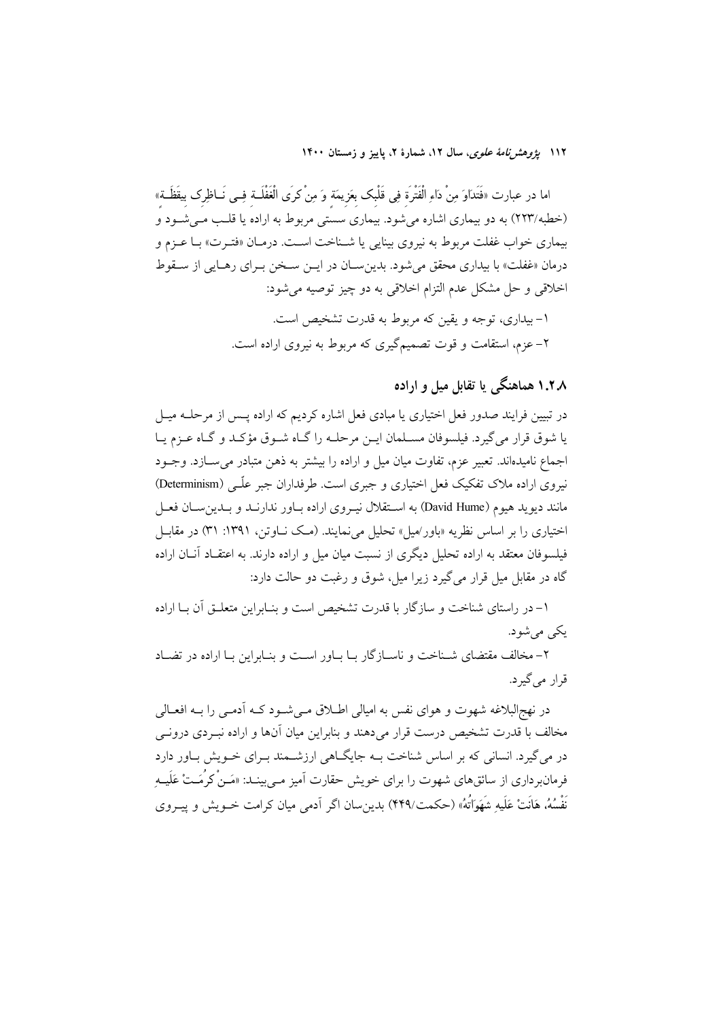۱۱۲ *یژوهشرنامهٔ علوی*، سال ۱۲، شمارهٔ ۲، پاییز و زمستان ۱۴۰۰

اما در عبارت «فَتَدَاوَ مِنْ دَاءِ الْفَتْرَة فِي قَلْبك بعَزيمَة وَ مِنْ كرَى الْغَفْلَــة فِــي نَــاظِرك بيقَظَــة» (خطبه/۲۲۳) به دو بیماری اشاره می شود. بیماری سستی مربوط به اراده یا قلب می شـود و بیماری خواب غفلت مربوط به نیروی بینایی یا شـناخت اسـت. درمـان «فتـرت» بـا عـزم و درمان «غفلت» با بیداری محقق می شود. بدین سـان در ایــن سـخن بــرای رهـایی از سـقوط اخلاقی و حل مشکل عدم التزام اخلاقی به دو چیز توصیه می شود: ۱– بیداری، توجه و یقین که مربوط به قدرت تشخیص است.

۲– عزم، استقامت و قوت تصمیمگیری که مربوط به نیروی اراده است.

## ۱.۲.۸ هماهنگی یا تقابل میل و اراده

در تبیین فرایند صدور فعل اختیاری یا مبادی فعل اشاره کردیم که اراده پـس از مرحلــه میــل یا شوق قرار می گیرد. فیلسوفان مسـلمان ایــن مرحلــه را گــاه شــوق مؤکــد و گــاه عــزم یــا اجماع نامیدااند. تعبیر عزم، تفاوت میان میل و اراده را بیشتر به ذهن متبادر می سازد. وجـود نیروی اراده ملاک تفکیک فعل اختیاری و جبری است. طرفداران جبر علّمی (Determinism) مانند دیوید هیوم (David Hume) به استقلال نیـروی اراده بـاور ندارنــد و بــدینســان فعــل اختياري را بر اساس نظريه «باور/ميل» تحليل مي نمايند. (مـک نــاوتن، ١٣٩١: ٣١) در مقابــل فیلسوفان معتقد به اراده تحلیل دیگری از نسبت میان میل و اراده دارند. به اعتقــاد آنــان اراده گاه در مقابل میل قرار میگیرد زیرا میل، شوق و رغبت دو حالت دارد:

۱– در راستای شناخت و سازگار با قدرت تشخیص است و بنـابراین متعلــق آن بــا اراده يکې مې شود.

۲- مخالف مقتضای شـناخت و ناسـازگار بـا بـاور اسـت و بنـابراين بـا اراده در تضـاد قرار مي گيرد.

در نهج البلاغه شهوت و هواي نفس به اميالي اطــلاق مــي شــود كــه أدمــي را بــه افعــالي مخالف با قدرت تشخیص درست قرار میدهند و بنابراین میان آنها و اراده نبـردی درونــی در می گیرد. انسانی که بر اساس شناخت بــه جایگــاهی ارزشــمند بــرای خــویش بــاور دارد فرمانبرداری از سائقهای شهوت را برای خویش حقارت آمیز مــیبینـد: «مَـنْ کرُمَـتْ عَلَيــهِ نَفْسُهُ، هَانَتْ عَلَيه شَهَوَاتُهُ» (حکمت/۴۴۹) بدین سان اگر آدمی میان کرامت خــویش و پیــروی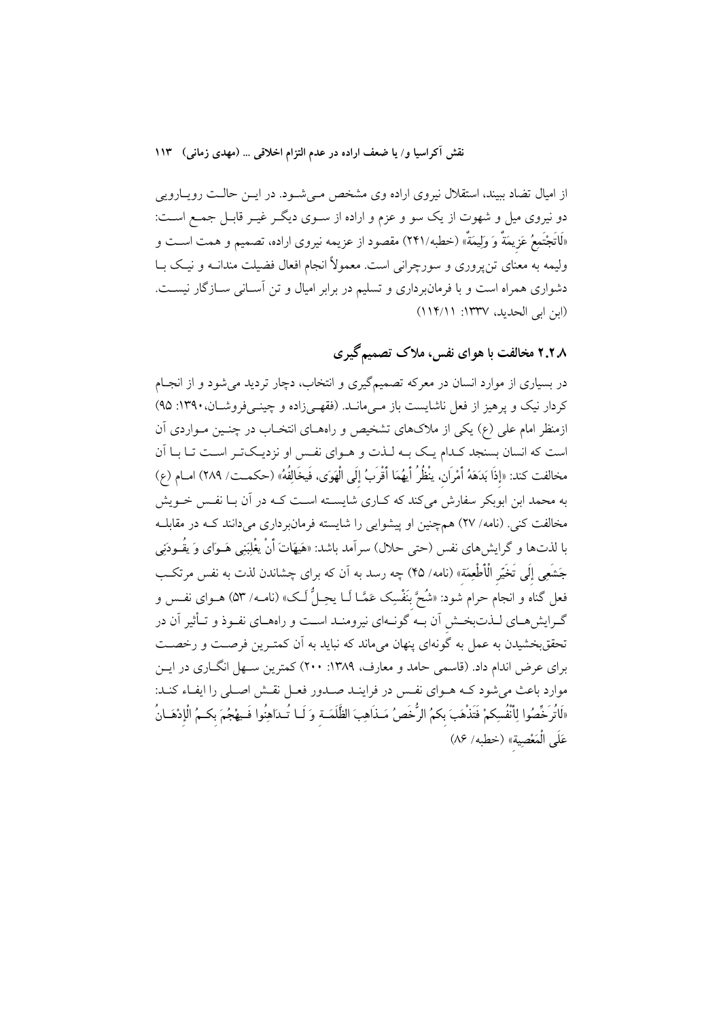از امیال تضاد ببیند، استقلال نیروی اراده وی مشخص مےشود. در ایـن حالـت رویـارویی دو نیروی میل و شهوت از یک سو و عزم و اراده از سـوی دیگـر غیـر قابـل جمـع اسـت: «لَاتَجْتَمِعُ عَزِيمَةٌ وَ وَلِيمَةٌ» (خطبه/٢۴۱) مقصود از عزيمه نيروى اراده، تصميم و همت اســت و ولیمه به معنای تن پروری و سورچرانی است. معمولاً انجام افعال فضیلت مندانــه و نیــک بــا دشواری همراه است و با فرمانبرداری و تسلیم در برابر امیال و تن آسـانی سـازگار نیسـت. (ابن ابي الحديد، ١٣٣٧: ١١١٤/١١)

## ۲.۲.۸ مخالفت با هوای نفس، ملاک تصمیم گیری

در بسیاری از موارد انسان در معرکه تصمیمگیری و انتخاب، دچار تردید می شود و از انجـام کردار نیک و یرهیز از فعل ناشایست باز مے مانــد. (فقهــ زاده و چینــی فروشــان، ۱۳۹۰: ۹۵) ازمنظر امام علی (ع) یکی از ملاکهای تشخیص و راههـای انتخـاب در چنـین مـواردی آن است که انسان بسنجد کدام یک بـه لـذت و هـوای نفـس او نزدیـکتـر اسـت تـا بـا اَن مخالفت كند: «إذَا بَدَهَهُ أَمْرَانٍ، ينْظُرُ أَيهُمَا أَقْرَبُ إِلَى الْهَوَى، فَيخَالِفُهُ» (حكمـت/ ٢٨٩) امـام (ع) به محمد ابن ابوبکر سفارش میکند که کـاری شایســته اســت کــه در آن بــا نفـس خــویش مخالفت کنی. (نامه/ ۲۷) همچنین او پیشوایی را شایسته فرمانبرداری میدانند کـه در مقابلـه با لذتها و گرایشهای نفس (حت<sub>ی</sub> حلال) سراَمد باشد: «هَیهَاتَ أَنْ یغْلِبَنِی هَــوای وَ یقُــودَنِی جَشَعِي إِلَى تَخَيَّر الْأَطْعِمَة» (نامه/ ۴۵) چه رسد به اّن که برای چشاندن لذت به نفس مرتکب فعل گناه و انجام حرام شود: «شُحَّ بنَفْسِک عَمَّـا لَــا يحِـلُّ لَــک» (نامــه/ ۵۳) هــوای نفــس و گـرایشهـای لـذتبخـش اَن بــه گونــهای نیرومنــد اســت و راههــای نفــوذ و تــأثیر اَن در تحققبخشیدن به عمل به گونهای پنهان میماند که نباید به آن کمتـرین فرصـت و رخصـت برای عرض اندام داد. (قاسمی حامد و معارف، ۱۳۸۹: ۲۰۰) کمترین سـهل انگــاری در ایــن موارد باعث می شود کـه هــواي نفـس در فراينــد صــدور فعــل نقـش اصــلي را ايفــاء کنــد: «لَاتُرَخِّصُوا لِأَنْفُسِكِمْ فَتَذْهَبَ بِكمُ الرُّخَصُ مَـذَاهِبَ الظَّلَمَـة وَ لَـا تُـدَاهِنُوا فَـيهْجُمَ بكـمُ الْإِدْهَـانُ عَلَى الْمَعْصِيةِ» (خطبه/ ٨۶)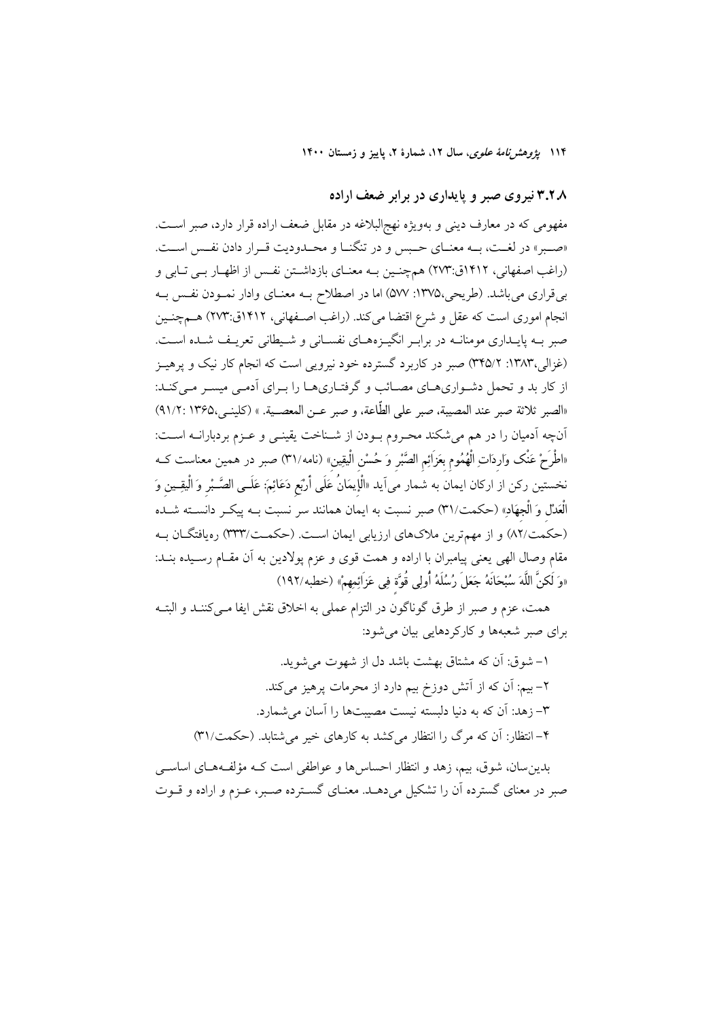۱۱۴ بی*ژوهش نامهٔ علوی*، سال ۱۲، شمارهٔ ۲، پاییز و زمستان ۱۴۰۰

۳.۲.۸ نیروی صبر و پایداری در برابر ضعف اراده

مفهومی که در معارف دینی و بهویژه نهج|لبلاغه در مقابل ضعف اراده قرار دارد، صبر است. «صبر» در لغت، بـه معنـاي حـبس و در تنگنـا و محـدوديت قـرار دادن نفـس اسـت. (راغب اصفهانی، ۱۴۱۲ق:۲۷۳) همچنین بـه معنـای بازداشـتن نفـس از اظهـار بـی تـابی و بی قراری می باشد. (طریحی،۱۳۷۵: ۵۷۷) اما در اصطلاح بـه معنـای وادار نمـودن نفـس بـه انجام اموری است که عقل و شرع اقتضا میکند. (راغب اصـفهانی، ۱۴۱۲ق:۲۷۳) هــمچنــین صبر بـه پایـداری مومنانـه در برابـر انگیـزههـای نفسـانی و شـیطانی تعریـف شـده اسـت. (غزالي،١٣٨٣: ٣۴۵/٢) صبر در كاربرد گسترده خود نيرويي است كه انجام كار نيك و پرهيـز از کار بد و تحمل دشواریهای مصائب و گرفتاریها را بـرای اَدمـی میسـر مـیکنـد: «الصبر ثلاثة صبر عند المصيبة، صبر على الطَّاعة، و صبر عـن المعصـية. » (كلينـي،١٣۶۵ :٩١/٢) أنچه أدميان را در هم مي شكند محـروم بــودن از شــناخت يقينــي و عــزم بردبارانــه اســت: «اطْرَحْ عَنْک وَاردَاتِ الْهُمُوم بعَزَائِم الصَّبْر وَ حُسْن الْيقِين» (نامه/٣١) صبر در همین معناست کــه نخستين ركن از اركان ايمان به شمار مى∫يد «اْلْإيمَانُ عَلَى أَرْبَع دَعَائِمَ: عَلَــى الصَّــْبر وَ الْيقِــين وَ الْعَدْلِ وَ الْجِهَادِ» (حكمت/٣١) صبر نسبت به ايمان همانند سر نسبت بــه ييكــر دانســته شــده (حکمت/۸۲) و از مهمترین ملاکهای ارزیابی ایمان است. (حکمـت/۳۳۳) رهیافتگــان بــه مقام وصال الهي يعني پيامبران با اراده و همت قوى و عزم پولادين به آن مقـام رسـيده بنـد: «وَ لَكنَّ اللَّهَ سُبْحَانَهُ جَعَلَ رُسُلَهُ أُولِى قُوَّة فِي عَزَائِمِهِمْ» (خطبه/١٩٢)

همت، عزم و صبر از طرق گوناگون در التزام عملی به اخلاق نقش ایفا مـی کننــد و البتــه برای صبر شعبهها و کارکردهایی بیان می شود:

١– شوق: أن كه مشتاق بهشت باشد دل از شهوت مى شويد. ۲– بیم: آن که از آتش دوزخ بیم دارد از محرمات پرهیز میکند. ٣- زهد: آن که به دنیا دلسته نست مصستها را آسان می شمارد. ۴– انتظار: آن که مرگ را انتظار می کشد به کارهای خیر می شتابد. (حکمت/۳۱)

بدین سان، شوق، بیم، زهد و انتظار احساس ها و عواطفی است کـه مؤلفـههـای اساســی صبر در معنای گسترده آن را تشکیل می دهـد. معنــای گســترده صــبر، عــزم و اراده و قــوت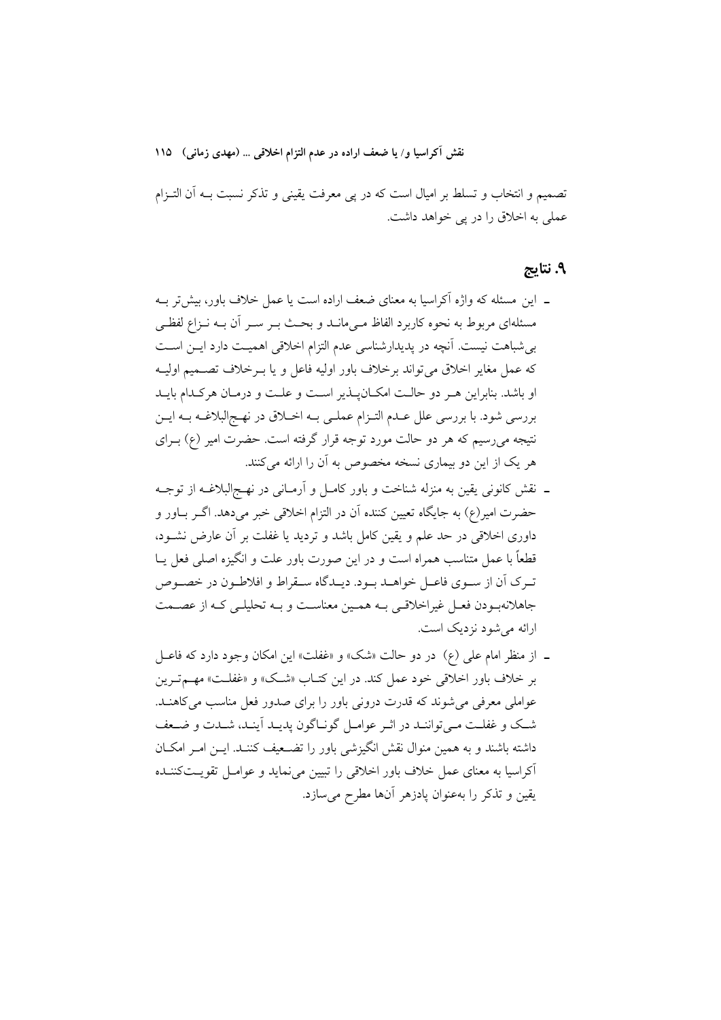نقش آکراسیا و/ یا ضعف اراده در عدم التزام اخلاقی … (مهدی زمانی) ۱۱۵

تصمیم و انتخاب و تسلط بر امیال است که در پی معرفت یقینی و تذکر نسبت بــه اَن التــزام عملي به اخلاق را در يي خواهد داشت.

### ۹. نتايج

- ۔ این مسئله که واژه اَکراسیا به معنای ضعف اراده است یا عمل خلاف باور، بیش تر بـه مسئلهای مربوط به نحوه کاربرد الفاظ مـی،مانــد و بحـث بــر ســر آن بــه نــزاع لفظــی بی شباهت نیست. آنچه در پدیدارشناسی عدم التزام اخلاقی اهمیت دارد ایـن اسـت كه عمل مغاير اخلاق مى تواند برخلاف باور اوليه فاعل و يا بـرخلاف تصـميم اوليـه او باشد. بنابراین هـر دو حالـت امكـانپــذير اسـت و علـت و درمـان هركـدام بايــد بررسی شود. با بررسی علل عـدم التـزام عملـی بــه اخــلاق در نهــج|لبلاغــه بــه ايــن نتیجه میرسیم که هر دو حالت مورد توجه قرار گرفته است. حضرت امیر (ع) بــرای هر یک از این دو بیماری نسخه مخصوص به آن را ارائه میکنند.
- ـ نقش کانونی یقین به منزله شناخت و باور کامـل و آرمـانی در نهـجالبلاغــه از توجــه حضرت امير(ع) به جايگاه تعيين كننده آن در التزام اخلاقي خبر ميدهد. اگــر بــاور و داوری اخلاقی در حد علم و یقین کامل باشد و تردید یا غفلت بر آن عارض نشـود، قطعاً با عمل متناسب همراه است و در این صورت باور علت و انگیزه اصلی فعل پــا تـرک آن از سـوي فاعـل خواهـد بـود. ديـدگاه سـقراط و افلاطـون در خصـوص جاهلانهبودن فعـل غیراخلاقـی بـه همـین معناسـت و بـه تحلیلـی کـه از عصــمت ارائه می شود نزدیک است.
- ـ از منظر امام علي (ع) در دو حالت «شک» و «غفلت» اين امکان وجود دارد که فاعــل بر خلاف باور اخلاقی خود عمل کند. در این کتـاب «شـک» و «غفلـت» مهـم تـرین عواملی معرفی می شوند که قدرت درونی باور را برای صدور فعل مناسب می کاهنـد. شك و غفلت مـى تواننـد در اثـر عوامـل گونـاگون يديـد أينـد، شـدت و ضـعف داشته باشند و به همین منوال نقش انگیزشی باور را تضـعیف کننـد. ایــن امــر امکــان آکراسیا به معنای عمل خلاف باور اخلاقی را تبیین می نماید و عوامـل تقویـتکننـده يقين و تذكر را بهعنوان پادزهر أنها مطرح مىسازد.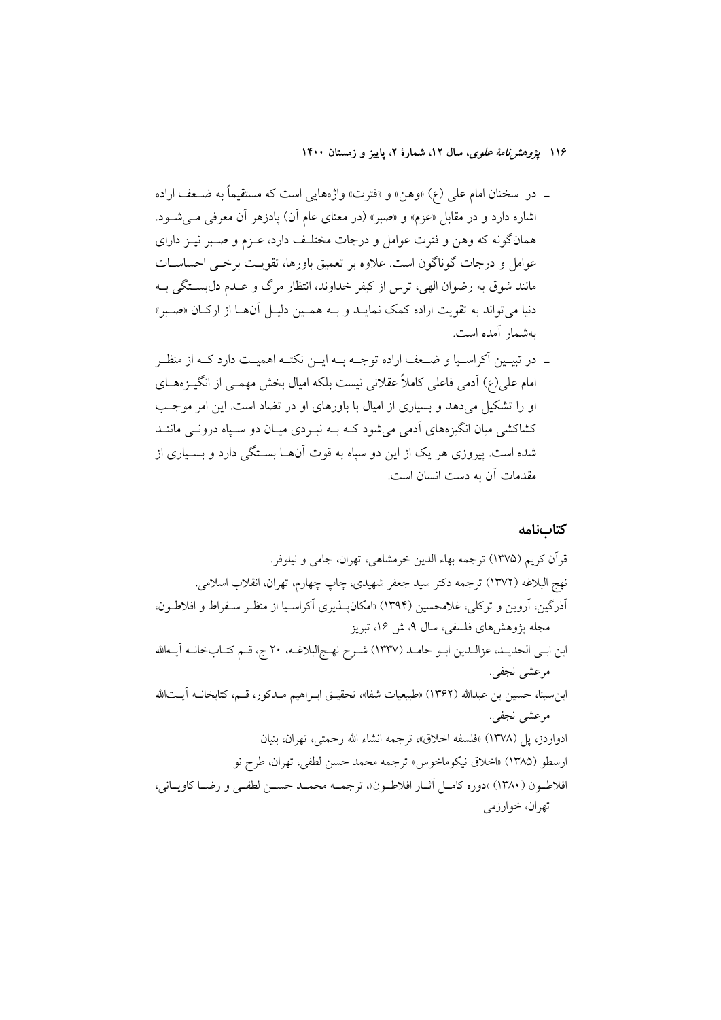۱۱۶ پژوهشر*نامهٔ علوی*، سال ۱۲، شمارهٔ ۲، پاییز و زمستان ۱۴۰۰

- ـ در سخنان امام علی (ع) «وهن» و «فترت» واژههایی است که مستقیماً به ضـعف اراده اشاره دارد و در مقابل «عزم» و «صبر» (در معنای عام آن) یادزهر آن معرفی مــیشــود. همانگونه که وهن و فترت عوامل و درجات مختلـف دارد، عــزم و صــبر نيــز داراي عوامل و درجات گوناگون است. علاوه بر تعمیق باورها، تقویـت برخـی احساســات مانند شوق به رضوان الهي، ترس از كيفر خداوند، انتظار مرگ و عـدم دلبســتگي بــه دنیا میتواند به تقویت اراده کمک نمایـد و بـه همـین دلیـل آنهـا از ارکـان «صـبر» بەشمار آمدە است.
- ـ در تبيــين آكراســيا و ضــعف اراده توجــه بــه ايــن نكتــه اهميــت دارد كــه از منظــر امام علی(ع) آدمی فاعلی کاملاً عقلانی نیست بلکه امیال بخش مهمـی از انگیــزههــای او را تشکیل می دهد و بسیاری از امیال با باورهای او در تضاد است. این امر موجب کشاکشی میان انگیزههای آدمی می شود کـه بـه نبـردی میـان دو سـیاه درونــی ماننــد شده است. پیروزی هر یک از این دو سیاه به قوت آنهــا بسـتگی دارد و بســیاری از مقدمات آن به دست انسان است.

كتابنامه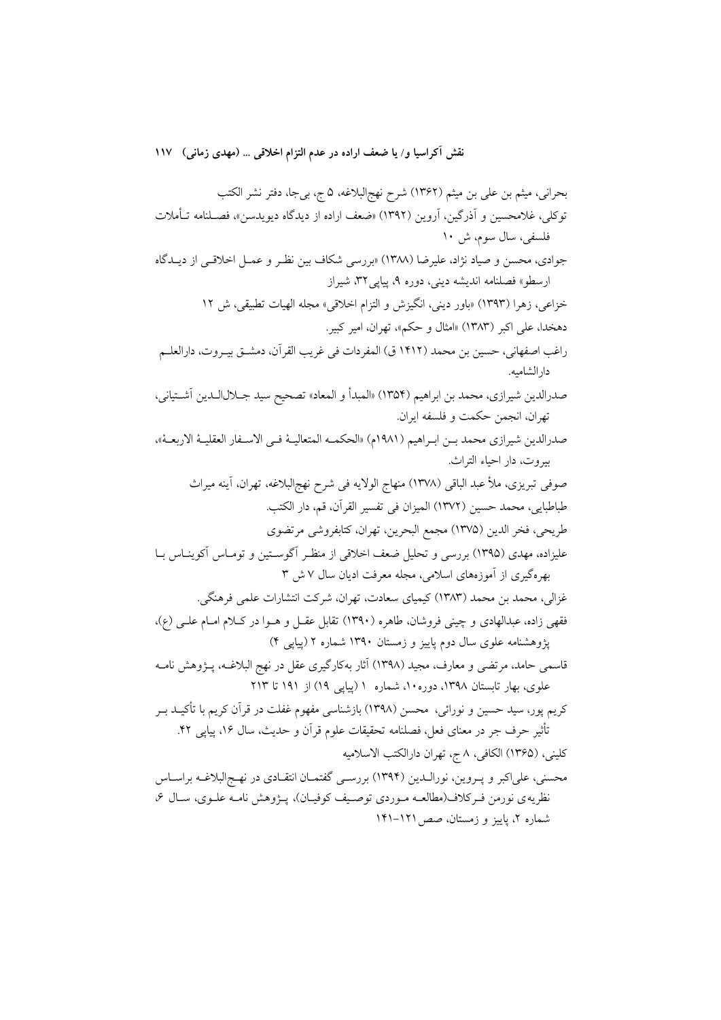نقش آكراسيا و/ يا ضعف اراده در عدم التزام اخلاقي … (مهدى زماني) ١١٧

بحراني، ميثم بن علي بن ميثم (١٣۶٢) شرح نهج|لبلاغه، ۵ ج، بيجا، دفتر نشر الكتب توكلي، غلامحسين و آذرگين، آروين (١٣٩٢) «ضعف اراده از ديدگاه ديويدسن»، فصـلنامه تـأملات فلسفي، سال سوم، ش ١٠ جوادي، محسن و صياد نژاد، عليرضا (١٣٨٨) «بررسي شكاف بين نظـر و عمـل اخلاقـي از ديـدگاه ارسطو» فصلنامه اندیشه دینی، دوره ۹، پیایی ۳۲، شیراز خزاعي، زهرا (١٣٩٣) «باور ديني، انگيزش و التزام اخلاقي» مجله الهيات تطبيقي، ش ١٢ دهخدا، على اكبر (١٣٨٣) «امثال و حكم»، تهران، امير كبير. راغب اصفهاني، حسين بن محمد (١٤١٢ ق) المفردات في غريب القر آن، دمشــق بيـروت، دار العلــم دار الشاميه. صدرالدين شيرازي، محمد بن ابراهيم (١٣٥٤) «المبدأ و المعاد» تصحيح سيد جــلالالـدين آشــتياني، تهران، انجمن حكمت و فلسفه ايران. صدرالدين شيرازي محمد بـن ابـراهيم (١٩٨١م) «الحكمـه المتعاليــهْ فـي الاســفار العقليــهْ الاربعــهْ»، بيروت، دار احياء التراث. صوفي تبريزي، ملأ عبد الباقي (١٣٧٨) منهاج الولايه في شرح نهجالبلاغه، تهران، آينه ميراث طباطبايي، محمد حسين (١٣٧٢) الميزان في تفسير القرآن، قم، دار الكتب. طريحي، فخر الدين (١٣٧۵) مجمع البحرين، تهران، كتابفروشي مرتضوي عليزاده، مهدي (١٣٩٥) بررسي و تحليل ضعف اخلاقي از منظـر أگوسـتين و تومـاس أكوينـاس بـا بهرهگیری از آموزههای اسلامی، مجله معرفت ادیان سال ۷ ش ۳ غزالي، محمد بن محمد (١٣٨٣) كيمياي سعادت، تهران، شركت انتشارات علمي فرهنگي. فقهی زاده، عبدالهادی و چینی فروشان، طاهره (۱۳۹۰) تقابل عقـل و هـوا در کـلام امـام علـی (ع)، یژوهشنامه علوی سال دوم پاییز و زمستان ۱۳۹۰ شماره ۲ (پیایی ۴) قاسمی حامد، مرتضی و معارف، مجید (۱۳۹۸) آثار بهکارگیری عقل در نهج البلاغـه، پــژوهش نامــه علوی، بهار تابستان ۱۳۹۸، دوره ۱۰، شماره ۱ (پیایی ۱۹) از ۱۹۱ تا ۲۱۳ کریم پور، سید حسین و نورائی، محسن (۱۳۹۸) بازشناسی مفهوم غفلت در قرآن کریم با تأکیــد بــر تأثیر حرف جر در معنای فعل، فصلنامه تحقیقات علوم قرآن و حدیث، سال ۱۶، پیاپی ۴۲. كليني، (١٣۶۵) الكافي، ٨ ج، تهران دارالكتب الاسلاميه محسنی، علیاکبر و پـروین، نورالـدین (۱۳۹۴) بررسـی گفتمـان انتقـادی در نهـج|لبلاغـه براسـاس نظریه ی نورمن فـرکلاف(مطالعــه مـوردی توصــیف کوفیــان)، پــژوهش نامــه علــوی، ســال ۶، شماره ۲، پاییز و زمستان، صص ۱۲۱–۱۴۱